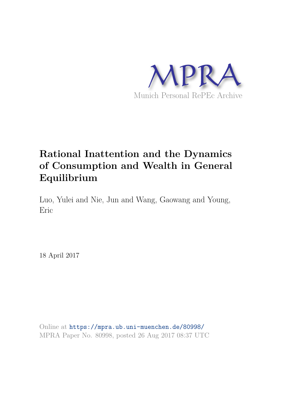

# **Rational Inattention and the Dynamics of Consumption and Wealth in General Equilibrium**

Luo, Yulei and Nie, Jun and Wang, Gaowang and Young, Eric

18 April 2017

Online at https://mpra.ub.uni-muenchen.de/80998/ MPRA Paper No. 80998, posted 26 Aug 2017 08:37 UTC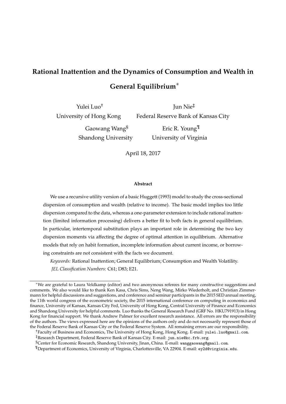# **Rational Inattention and the Dynamics of Consumption and Wealth in General Equilibrium**∗

Yulei Luo† University of Hong Kong

Jun Nie‡ Federal Reserve Bank of Kansas City Eric R. Young¶

Gaowang Wang§ Shandong University

University of Virginia

April 18, 2017

#### **Abstract**

We use a recursive utility version of a basic Huggett (1993) model to study the cross-sectional dispersion of consumption and wealth (relative to income). The basic model implies too little dispersion compared to the data, whereas a one-parameter extension to include rational inattention (limited information processing) delivers a better fit to both facts in general equilibrium. In particular, intertemporal substitution plays an important role in determining the two key dispersion moments via affecting the degree of optimal attention in equilibrium. Alternative models that rely on habit formation, incomplete information about current income, or borrowing constraints are not consistent with the facts we document.

*Keywords:* Rational Inattention; General Equilibrium; Consumption and Wealth Volatility. *JEL Classification Numbers:* C61; D83; E21.

<sup>∗</sup>We are grateful to Laura Veldkamp (editor) and two anonymous referees for many constructive suggestions and comments. We also would like to thank Ken Kasa, Chris Sims, Neng Wang, Mirko Wiederholt, and Christian Zimmermann for helpful discussions and suggestions, and conference and seminar participants in the 2015 SED annual meeting, the 11th world congress of the econometric society, the 2015 international conference on computing in economics and finance, University of Kansas, Kansas City Fed, University of Hong Kong, Central University of Finance and Economics and Shandong University for helpful comments. Luo thanks the General Research Fund (GRF No. HKU791913) in Hong Kong for financial support. We thank Andrew Palmer for excellent research assistance. All errors are the responsibility of the authors. The views expressed here are the opinions of the authors only and do not necessarily represent those of the Federal Reserve Bank of Kansas City or the Federal Reserve System. All remaining errors are our responsibility.

<sup>†</sup>Faculty of Business and Economics, The University of Hong Kong, Hong Kong. E-mail: yulei.luo@gmail.com.

<sup>‡</sup>Research Department, Federal Reserve Bank of Kansas City. E-mail: jun.nie@kc.frb.org.

<sup>§</sup>Center for Economic Research, Shandong University, Jinan, China. E-mail: wanggaowang@gmail.com.

<sup>¶</sup>Department of Economics, University of Virginia, Charlottesville, VA 22904. E-mail: ey2d@virginia.edu.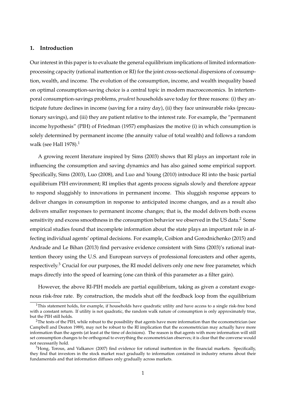# **1. Introduction**

Our interest in this paper is to evaluate the general equilibrium implications of limited informationprocessing capacity (rational inattention or RI) for the joint cross-sectional dispersions of consumption, wealth, and income. The evolution of the consumption, income, and wealth inequality based on optimal consumption-saving choice is a central topic in modern macroeconomics. In intertemporal consumption-savings problems, *prudent* households save today for three reasons: (i) they anticipate future declines in income (saving for a rainy day), (ii) they face uninsurable risks (precautionary savings), and (iii) they are patient relative to the interest rate. For example, the "permanent income hypothesis" (PIH) of Friedman (1957) emphasizes the motive (i) in which consumption is solely determined by permanent income (the annuity value of total wealth) and follows a random walk (see Hall  $1978$ ).<sup>1</sup>

A growing recent literature inspired by Sims (2003) shows that RI plays an important role in influencing the consumption and saving dynamics and has also gained some empirical support. Specifically, Sims (2003), Luo (2008), and Luo and Young (2010) introduce RI into the basic partial equilibrium PIH environment; RI implies that agents process signals slowly and therefore appear to respond sluggishly to innovations in permanent income. This sluggish response appears to deliver changes in consumption in response to anticipated income changes, and as a result also delivers smaller responses to permanent income changes; that is, the model delivers both excess sensitivity and excess smoothness in the consumption behavior we observed in the US data.<sup>2</sup> Some empirical studies found that incomplete information about the state plays an important role in affecting individual agents' optimal decisions. For example, Coibion and Gorodnichenko (2015) and Andrade and Le Bihan (2013) find pervasive evidence consistent with Sims (2003)'s rational inattention theory using the U.S. and European surveys of professional forecasters and other agents, respectively. $3$  Crucial for our purposes, the RI model delivers only one new free parameter, which maps directly into the speed of learning (one can think of this parameter as a filter gain).

However, the above RI-PIH models are partial equilibrium, taking as given a constant exogenous risk-free rate. By construction, the models shut off the feedback loop from the equilibrium

 $1$ This statement holds, for example, if households have quadratic utility and have access to a single risk-free bond with a constant return. If utility is not quadratic, the random walk nature of consumption is only approximately true, but the PIH still holds.

<sup>&</sup>lt;sup>2</sup>The tests of the PIH, while robust to the possibility that agents have more information than the econometrician (see Campbell and Deaton 1989), may not be robust to the RI implication that the econometrician may actually have more information than the agents (at least at the time of decisions). The reason is that agents with more information will still set consumption changes to be orthogonal to everything the econometrician observes; it is clear that the converse would not necessarily hold.

 $3$ Hong, Torous, and Valkanov (2007) find evidence for rational inattention in the financial markets. Specifically, they find that investors in the stock market react gradually to information contained in industry returns about their fundamentals and that information diffuses only gradually across markets.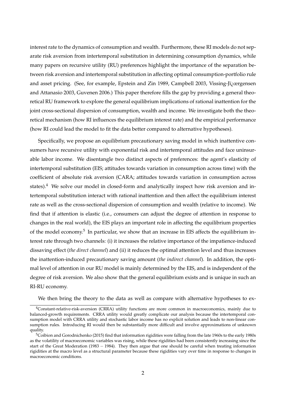interest rate to the dynamics of consumption and wealth. Furthermore, these RI models do not separate risk aversion from intertemporal substitution in determining consumption dynamics, while many papers on recursive utility (RU) preferences highlight the importance of the separation between risk aversion and intertemporal substitution in affecting optimal consumption-portfolio rule and asset pricing. (See, for example, Epstein and Zin 1989, Campbell 2003, Vissing-Ji $\chi$ ergensen and Attanasio 2003, Guvenen 2006.) This paper therefore fills the gap by providing a general theoretical RU framework to explore the general equilibrium implications of rational inattention for the joint cross-sectional dispersion of consumption, wealth and income. We investigate both the theoretical mechanism (how RI influences the equilibrium interest rate) and the empirical performance (how RI could lead the model to fit the data better compared to alternative hypotheses).

Specifically, we propose an equilibrium precautionary saving model in which inattentive consumers have recursive utility with exponential risk and intertemporal attitudes and face uninsurable labor income. We disentangle two distinct aspects of preferences: the agent's elasticity of intertemporal substitution (EIS; attitudes towards variation in consumption across time) with the coefficient of absolute risk aversion (CARA; attitudes towards variation in consumption across states).<sup>4</sup> We solve our model in closed-form and analytically inspect how risk aversion and intertemporal substitution interact with rational inattention and then affect the equilibrium interest rate as well as the cross-sectional dispersion of consumption and wealth (relative to income). We find that if attention is elastic (i.e., consumers can adjust the degree of attention in response to changes in the real world), the EIS plays an important role in affecting the equilibrium properties of the model economy.<sup>5</sup> In particular, we show that an increase in EIS affects the equilibrium interest rate through two channels: (i) it increases the relative importance of the impatience-induced dissaving effect (*the direct channel*) and (ii) it reduces the optimal attention level and thus increases the inattention-induced precautionary saving amount (*the indirect channel*). In addition, the optimal level of attention in our RU model is mainly determined by the EIS, and is independent of the degree of risk aversion. We also show that the general equilibrium exists and is unique in such an RI-RU economy.

We then bring the theory to the data as well as compare with alternative hypotheses to ex-

<sup>4</sup>Constant-relative-risk-aversion (CRRA) utility functions are more common in macroeconomics, mainly due to balanced-growth requirements. CRRA utility would greatly complicate our analysis because the intertemporal consumption model with CRRA utility and stochastic labor income has no explicit solution and leads to non-linear consumption rules. Introducing RI would then be substantially more difficult and involve approximations of unknown quality.

 $5$ Coibion and Gorodnichenko (2015) find that information rigidities were falling from the late 1960s to the early 1980s as the volatility of macroeconomic variables was rising, while these rigidities had been consistently increasing since the start of the Great Moderation (1983 – 1984). They then argue that one should be careful when treating information rigidities at the macro level as a structural parameter because these rigidities vary over time in response to changes in macroeconomic conditions.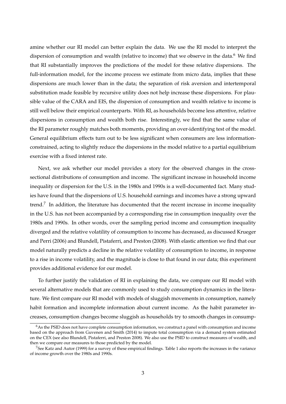amine whether our RI model can better explain the data. We use the RI model to interpret the dispersion of consumption and wealth (relative to income) that we observe in the data.<sup>6</sup> We find that RI substantially improves the predictions of the model for these relative dispersions. The full-information model, for the income process we estimate from micro data, implies that these dispersions are much lower than in the data; the separation of risk aversion and intertemporal substitution made feasible by recursive utility does not help increase these dispersions. For plausible value of the CARA and EIS, the dispersion of consumption and wealth relative to income is still well below their empirical counterparts. With RI, as households become less attentive, relative dispersions in consumption and wealth both rise. Interestingly, we find that the same value of the RI parameter roughly matches both moments, providing an over-identifying test of the model. General equilibrium effects turn out to be less significant when consumers are less informationconstrained, acting to slightly reduce the dispersions in the model relative to a partial equilibrium exercise with a fixed interest rate.

Next, we ask whether our model provides a story for the observed changes in the crosssectional distributions of consumption and income. The significant increase in household income inequality or dispersion for the U.S. in the 1980s and 1990s is a well-documented fact. Many studies have found that the dispersions of U.S. household earnings and incomes have a strong upward trend.<sup>7</sup> In addition, the literature has documented that the recent increase in income inequality in the U.S. has not been accompanied by a corresponding rise in consumption inequality over the 1980s and 1990s. In other words, over the sampling period income and consumption inequality diverged and the relative volatility of consumption to income has decreased, as discussed Krueger and Perri (2006) and Blundell, Pistaferri, and Preston (2008). With elastic attention we find that our model naturally predicts a decline in the relative volatility of consumption to income, in response to a rise in income volatility, and the magnitude is close to that found in our data; this experiment provides additional evidence for our model.

To further justify the validation of RI in explaining the data, we compare our RI model with several alternative models that are commonly used to study consumption dynamics in the literature. We first compare our RI model with models of sluggish movements in consumption, namely habit formation and incomplete information about current income. As the habit parameter increases, consumption changes become sluggish as households try to smooth changes in consump-

 $6$ As the PSID does not have complete consumption information, we construct a panel with consumption and income based on the approach from Guvenen and Smith (2014) to impute total consumption via a demand system estimated on the CEX (see also Blundell, Pistaferri, and Preston 2008). We also use the PSID to construct measures of wealth, and then we compare our measures to those predicted by the model.

 $7$ See Katz and Autor (1999) for a survey of these empirical findings. Table 1 also reports the increases in the variance of income growth over the 1980s and 1990s.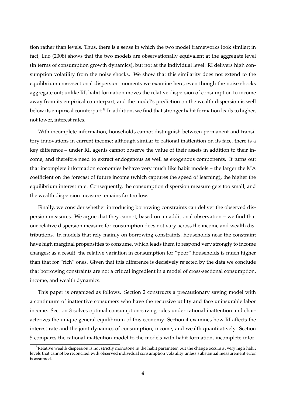tion rather than levels. Thus, there is a sense in which the two model frameworks look similar; in fact, Luo (2008) shows that the two models are observationally equivalent at the aggregate level (in terms of consumption growth dynamics), but not at the individual level: RI delivers high consumption volatility from the noise shocks. We show that this similarity does not extend to the equilibrium cross-sectional dispersion moments we examine here, even though the noise shocks aggregate out; unlike RI, habit formation moves the relative dispersion of consumption to income away from its empirical counterpart, and the model's prediction on the wealth dispersion is well below its empirical counterpart. $^8$  In addition, we find that stronger habit formation leads to higher, not lower, interest rates.

With incomplete information, households cannot distinguish between permanent and transitory innovations in current income; although similar to rational inattention on its face, there is a key difference – under RI, agents cannot observe the value of their assets in addition to their income, and therefore need to extract endogenous as well as exogenous components. It turns out that incomplete information economies behave very much like habit models – the larger the MA coefficient on the forecast of future income (which captures the speed of learning), the higher the equilibrium interest rate. Consequently, the consumption dispersion measure gets too small, and the wealth dispersion measure remains far too low.

Finally, we consider whether introducing borrowing constraints can deliver the observed dispersion measures. We argue that they cannot, based on an additional observation – we find that our relative dispersion measure for consumption does not vary across the income and wealth distributions. In models that rely mainly on borrowing constraints, households near the constraint have high marginal propensities to consume, which leads them to respond very strongly to income changes; as a result, the relative variation in consumption for "poor" households is much higher than that for "rich" ones. Given that this difference is decisively rejected by the data we conclude that borrowing constraints are not a critical ingredient in a model of cross-sectional consumption, income, and wealth dynamics.

This paper is organized as follows. Section 2 constructs a precautionary saving model with a continuum of inattentive consumers who have the recursive utility and face uninsurable labor income. Section 3 solves optimal consumption-saving rules under rational inattention and characterizes the unique general equilibrium of this economy. Section 4 examines how RI affects the interest rate and the joint dynamics of consumption, income, and wealth quantitatively. Section 5 compares the rational inattention model to the models with habit formation, incomplete infor-

 $8$ Relative wealth dispersion is not strictly monotone in the habit parameter, but the change occurs at very high habit levels that cannot be reconciled with observed individual consumption volatility unless substantial measurement error is assumed.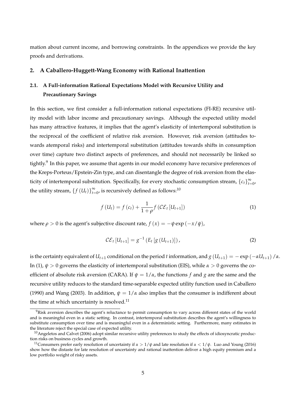mation about current income, and borrowing constraints. In the appendices we provide the key proofs and derivations.

# **2. A Caballero-Huggett-Wang Economy with Rational Inattention**

# **2.1. A Full-information Rational Expectations Model with Recursive Utility and Precautionary Savings**

In this section, we first consider a full-information rational expectations (FI-RE) recursive utility model with labor income and precautionary savings. Although the expected utility model has many attractive features, it implies that the agent's elasticity of intertemporal substitution is the reciprocal of the coefficient of relative risk aversion. However, risk aversion (attitudes towards atemporal risks) and intertemporal substitution (attitudes towards shifts in consumption over time) capture two distinct aspects of preferences, and should not necessarily be linked so tightly.<sup>9</sup> In this paper, we assume that agents in our model economy have recursive preferences of the Kreps-Porteus/Epstein-Zin type, and can disentangle the degree of risk aversion from the elasticity of intertemporal substitution. Specifically, for every stochastic consumption stream,  ${c_t}_{t=0}^{\infty}$  $\sum_{t=0}^{\infty}$ the utility stream,  $\{f(U_t)\}_{t=1}^{\infty}$  $_{t=0}^{\infty}$ , is recursively defined as follows:<sup>10</sup>

$$
f\left(U_{t}\right) = f\left(c_{t}\right) + \frac{1}{1+\rho} f\left(\mathcal{CE}_{t}\left[U_{t+1}\right]\right) \tag{1}
$$

where  $\rho > 0$  is the agent's subjective discount rate,  $f(x) = -\psi \exp(-x/\psi)$ ,

$$
CE_t [U_{t+1}] = g^{-1} (E_t [g (U_{t+1})]) ,
$$
 (2)

is the certainty equivalent of  $U_{t+1}$  conditional on the period *t* information, and  $g(U_{t+1}) = -\exp(-\alpha U_{t+1})/\alpha$ . In (1),  $\psi > 0$  governs the elasticity of intertemporal substitution (EIS), while  $\alpha > 0$  governs the coefficient of absolute risk aversion (CARA). If  $\psi = 1/\alpha$ , the functions *f* and *g* are the same and the recursive utility reduces to the standard time-separable expected utility function used in Caballero (1990) and Wang (2003). In addition,  $\psi = 1/\alpha$  also implies that the consumer is indifferent about the time at which uncertainty is resolved. $^{11}$ 

 $9R$ isk aversion describes the agent's reluctance to permit consumption to vary across different states of the world and is meaningful even in a static setting. In contrast, intertemporal substitution describes the agent's willingness to substitute consumption over time and is meaningful even in a deterministic setting. Furthermore, many estimates in the literature reject the special case of expected utility.

<sup>&</sup>lt;sup>10</sup> Angeletos and Calvet (2006) adopt similar recursive utility preferences to study the effects of idiosyncratic production risks on business cycles and growth.

<sup>&</sup>lt;sup>11</sup>Consumers prefer early resolution of uncertainty if  $\alpha > 1/\psi$  and late resolution if  $\alpha < 1/\psi$ . Luo and Young (2016) show how the distaste for late resolution of uncertainty and rational inattention deliver a high equity premium and a low portfolio weight of risky assets.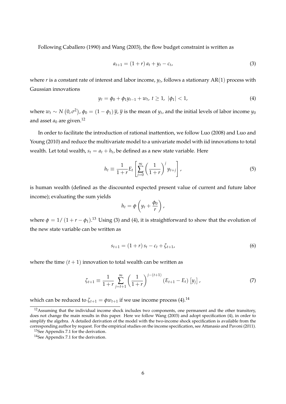Following Caballero (1990) and Wang (2003), the flow budget constraint is written as

$$
a_{t+1} = (1+r) a_t + y_t - c_t,
$$
\n(3)

where  $r$  is a constant rate of interest and labor income,  $y_t$ , follows a stationary  ${\rm AR}(1)$  process with Gaussian innovations

$$
y_t = \phi_0 + \phi_1 y_{t-1} + w_t, \ t \ge 1, \ |\phi_1| < 1,\tag{4}
$$

where  $w_t \sim N(0, \sigma^2)$ ,  $\phi_0 = (1 - \phi_1) \bar{y}$ ,  $\bar{y}$  is the mean of  $y_t$ , and the initial levels of labor income  $y_0$ and asset  $a_0$  are given.<sup>12</sup>

In order to facilitate the introduction of rational inattention, we follow Luo (2008) and Luo and Young (2010) and reduce the multivariate model to a univariate model with iid innovations to total wealth. Let total wealth,  $s_t = a_t + h_t$ , be defined as a new state variable. Here

$$
h_t \equiv \frac{1}{1+r} E_t \left[ \sum_{j=0}^{\infty} \left( \frac{1}{1+r} \right)^j y_{t+j} \right], \tag{5}
$$

is human wealth (defined as the discounted expected present value of current and future labor income); evaluating the sum yields

$$
h_t = \phi \left( y_t + \frac{\phi_0}{r} \right),
$$

where  $\phi = 1/ (1 + r - \phi_1)^{13}$  Using (3) and (4), it is straightforward to show that the evolution of the new state variable can be written as

$$
s_{t+1} = (1+r) s_t - c_t + \zeta_{t+1}, \tag{6}
$$

where the time  $(t + 1)$  innovation to total wealth can be written as

$$
\zeta_{t+1} \equiv \frac{1}{1+r} \sum_{j=t+1}^{\infty} \left( \frac{1}{1+r} \right)^{j-(t+1)} \left( E_{t+1} - E_t \right) \left[ y_j \right], \tag{7}
$$

which can be reduced to  $\zeta_{t+1} = \phi w_{t+1}$  if we use income process (4).<sup>14</sup>

<sup>&</sup>lt;sup>12</sup>Assuming that the individual income shock includes two components, one permanent and the other transitory, does not change the main results in this paper. Here we follow Wang (2003) and adopt specification (4), in order to simplify the algebra. A detailed derivation of the model with the two-income shock specification is available from the corresponding author by request. For the empirical studies on the income specification, see Attanasio and Pavoni (2011).

<sup>&</sup>lt;sup>13</sup>See Appendix 7.1 for the derivation.

<sup>&</sup>lt;sup>14</sup>See Appendix 7.1 for the derivation.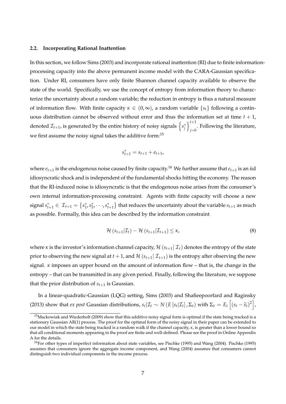#### **2.2. Incorporating Rational Inattention**

In this section, we follow Sims (2003) and incorporate rational inattention (RI) due to finite informationprocessing capacity into the above permanent income model with the CARA-Gaussian specification. Under RI, consumers have only finite Shannon channel capacity available to observe the state of the world. Specifically, we use the concept of entropy from information theory to characterize the uncertainty about a random variable; the reduction in entropy is thus a natural measure of information flow. With finite capacity  $\kappa \in (0,\infty)$ , a random variable  $\{s_t\}$  following a continuous distribution cannot be observed without error and thus the information set at time  $t + 1$ , denoted  $\mathcal{I}_{t+1}$ , is generated by the entire history of noisy signals  $\left\{s^*_j\right\}$  $\big\}^{t+1}$  $_{j=0}$ . Following the literature, we first assume the noisy signal takes the additive form:<sup>15</sup>

$$
s_{t+1}^* = s_{t+1} + e_{t+1},
$$

where  $e_{t+1}$  is the endogenous noise caused by finite capacity.<sup>16</sup> We further assume that  $e_{t+1}$  is an iid idiosyncratic shock and is independent of the fundamental shocks hitting the economy. The reason that the RI-induced noise is idiosyncratic is that the endogenous noise arises from the consumer's own internal information-processing constraint. Agents with finite capacity will choose a new  $\sigma$  signal  $s_{t+1}^* \in \mathcal{I}_{t+1} = \{s_1^*, s_2^*, \dots, s_{t+1}^*\}$  that reduces the uncertainty about the variable  $s_{t+1}$  as much as possible. Formally, this idea can be described by the information constraint

$$
\mathcal{H}\left(s_{t+1}|\mathcal{I}_t\right) - \mathcal{H}\left(s_{t+1}|\mathcal{I}_{t+1}\right) \leq \kappa,\tag{8}
$$

where *κ* is the investor's information channel capacity,  $\mathcal{H}(s_{t+1} | \mathcal{I}_t)$  denotes the entropy of the state prior to observing the new signal at  $t + 1$ , and  $\mathcal{H}(s_{t+1} | \mathcal{I}_{t+1})$  is the entropy after observing the new signal. *κ* imposes an upper bound on the amount of information flow – that is, the change in the entropy – that can be transmitted in any given period. Finally, following the literature, we suppose that the prior distribution of  $s_{t+1}$  is Gaussian.

In a linear-quadratic-Gaussian (LQG) setting, Sims (2003) and Shafieepoorfard and Raginsky (2013) show that *ex post* Gaussian distributions,  $s_t|\mathcal{I}_t \sim N(E[s_t|\mathcal{I}_t], \Sigma_t)$  with  $\Sigma_t = E_t\left[(s_t - \widehat{s}_t)^2\right]$ ,

 $15$ Mackowiak and Wiederholt (2009) show that this additive noisy signal form is optimal if the state being tracked is a stationary Gaussian AR(1) process. The proof for the optimal form of the noisy signal in their paper can be extended to our model in which the state being tracked is a random walk if the channel capacity, *κ*, is greater than a lower bound so that all conditional moments appearing in the proof are finite and well-defined. Please see the proof in Online Appendix A for the details.

<sup>&</sup>lt;sup>16</sup>For other types of imperfect information about state variables, see Pischke (1995) and Wang (2004). Pischke (1995) assumes that consumers ignore the aggregate income component, and Wang (2004) assumes that consumers cannot distinguish two individual components in the income process.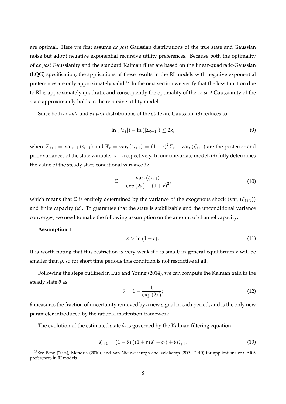are optimal. Here we first assume *ex post* Gaussian distributions of the true state and Gaussian noise but adopt negative exponential recursive utility preferences. Because both the optimality of *ex post* Gaussianity and the standard Kalman filter are based on the linear-quadratic-Gaussian (LQG) specification, the applications of these results in the RI models with negative exponential preferences are only approximately valid.<sup>17</sup> In the next section we verify that the loss function due to RI is approximately quadratic and consequently the optimality of the *ex post* Gaussianity of the state approximately holds in the recursive utility model.

Since both *ex ante* and *ex post* distributions of the state are Gaussian, (8) reduces to

$$
\ln\left(|\Psi_t|\right) - \ln\left(|\Sigma_{t+1}|\right) \leq 2\kappa,\tag{9}
$$

where  $\Sigma_{t+1} = \text{var}_{t+1}(s_{t+1})$  and  $\Psi_t = \text{var}_t(s_{t+1}) = (1+r)^2 \Sigma_t + \text{var}_t(\zeta_{t+1})$  are the posterior and prior variances of the state variable, *st*+1, respectively. In our univariate model, (9) fully determines the value of the steady state conditional variance  $Σ$ :

$$
\Sigma = \frac{\text{var}_t(\zeta_{t+1})}{\exp(2\kappa) - (1+r)^2},\tag{10}
$$

which means that  $\Sigma$  is entirely determined by the variance of the exogenous shock (var<sub>t</sub> ( $\zeta$ <sub>t+1</sub>)) and finite capacity  $(\kappa)$ . To guarantee that the state is stabilizable and the unconditional variance converges, we need to make the following assumption on the amount of channel capacity:

## **Assumption 1**

$$
\kappa > \ln\left(1+r\right). \tag{11}
$$

It is worth noting that this restriction is very weak if *r* is small; in general equilibrium *r* will be smaller than  $\rho$ , so for short time periods this condition is not restrictive at all.

Following the steps outlined in Luo and Young (2014), we can compute the Kalman gain in the steady state *θ* as

$$
\theta = 1 - \frac{1}{\exp(2\kappa)};
$$
\n(12)

*θ* measures the fraction of uncertainty removed by a new signal in each period, and is the only new parameter introduced by the rational inattention framework.

The evolution of the estimated state  $\widehat{s}_t$  is governed by the Kalman filtering equation

$$
\widehat{s}_{t+1} = (1 - \theta) ((1 + r) \widehat{s}_t - c_t) + \theta s_{t+1}^*, \tag{13}
$$

<sup>&</sup>lt;sup>17</sup>See Peng (2004), Mondria (2010), and Van Nieuwerburgh and Veldkamp (2009, 2010) for applications of CARA preferences in RI models.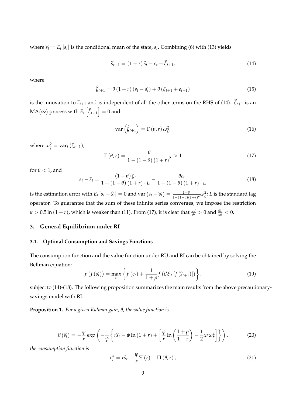where  $\widehat{s}_t = E_t [s_t]$  is the conditional mean of the state,  $s_t$ . Combining (6) with (13) yields

$$
\widehat{s}_{t+1} = (1+r)\,\widehat{s}_t - c_t + \widehat{\zeta}_{t+1},\tag{14}
$$

where

$$
\widehat{\zeta}_{t+1} = \theta \left(1+r\right) \left(s_t - \widehat{s}_t\right) + \theta \left(\zeta_{t+1} + e_{t+1}\right) \tag{15}
$$

is the innovation to  $\hat{s}_{t+1}$  and is independent of all the other terms on the RHS of (14).  $\hat{\zeta}_{t+1}$  is an  $\text{MA}(\infty)$  process with  $E_t\left[ \widehat{\zeta}_{t+1} \right] = 0$  and

$$
\operatorname{var}\left(\widehat{\zeta}_{t+1}\right) = \Gamma\left(\theta, r\right) \omega_{\zeta}^2,\tag{16}
$$

where  $\omega_{\zeta}^2 = \text{var}_t(\zeta_{t+1})$ ,

$$
\Gamma\left(\theta,r\right) = \frac{\theta}{1 - \left(1 - \theta\right)\left(1 + r\right)^2} > 1\tag{17}
$$

for  $\theta$  < 1, and

$$
s_t - \widehat{s}_t = \frac{\left(1 - \theta\right)\zeta_t}{1 - \left(1 - \theta\right)\left(1 + r\right) \cdot L} - \frac{\theta e_t}{1 - \left(1 - \theta\right)\left(1 + r\right) \cdot L} \tag{18}
$$

is the estimation error with  $E_t$   $[s_t - \widehat{s}_t] = 0$  and  $var(s_t - \widehat{s}_t) = \frac{1-\theta}{1-(1-\theta)(1+r)^2} \omega_{\widehat{\zeta}}^2$ ; L is the standard lag operator. To guarantee that the sum of these infinite series converges, we impose the restriction  $\kappa > 0.5$  ln  $(1 + r)$ , which is weaker than (11). From (17), it is clear that  $\frac{\partial \Gamma}{\partial r} > 0$  and  $\frac{\partial \Gamma}{\partial \theta} < 0$ .

# **3. General Equilibrium under RI**

# **3.1. Optimal Consumption and Savings Functions**

The consumption function and the value function under RU and RI can be obtained by solving the Bellman equation:

$$
f\left(f\left(\widehat{s}_{t}\right)\right)=\max_{c_{t}}\left\{f\left(c_{t}\right)+\frac{1}{1+\rho}f\left(\mathcal{CE}_{t}\left[f\left(\widehat{s}_{t+1}\right)\right]\right)\right\},\tag{19}
$$

subject to (14)-(18). The following proposition summarizes the main results from the above precautionarysavings model with RI.

**Proposition 1.** *For a given Kalman gain, θ, the value function is*

$$
\widehat{v}(\widehat{s}_t) = -\frac{\psi}{r} \exp\left(-\frac{1}{\psi} \left\{ r\widehat{s}_t - \psi \ln\left(1+r\right) + \left[ \frac{\psi}{r} \ln\left(\frac{1+\rho}{1+r}\right) - \frac{1}{2} \alpha r \omega_{\widehat{\zeta}}^2 \right] \right\} \right),\tag{20}
$$

*the consumption function is*

$$
c_t^* = r\hat{s}_t + \frac{\psi}{r} \Psi(r) - \Pi(\theta, r), \qquad (21)
$$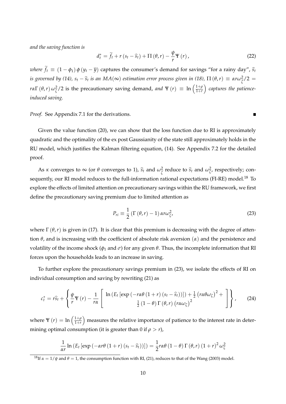*and the saving function is*

$$
d_t^* = \widetilde{f}_t + r\left(s_t - \widehat{s}_t\right) + \Pi\left(\theta, r\right) - \frac{\psi}{r}\Psi\left(r\right),\tag{22}
$$

 $\blacksquare$ 

*where*  $\widetilde{f}_t \equiv (1 - \phi_1) \phi(y_t - \overline{y})$  captures the consumer's demand for savings "for a rainy day",  $\widehat{s}_t$ *is governed by (14),*  $s_t - \widehat{s}_t$  *is an MA*(∞) *estimation error process given in (18),*  $\Pi(\theta, r) \equiv \alpha r \omega_{\widehat{\zeta}}^2/2 =$ *rα*Γ(*θ*,*r*)  $\omega_{\zeta}^2$ /2 is the precautionary saving demand, *and* Ψ(*r*) = ln  $\left(\frac{1+\rho}{1+r}\right)$ 1+*r captures the patienceinduced saving.*

*Proof.* See Appendix 7.1 for the derivations.

Given the value function (20), we can show that the loss function due to RI is approximately quadratic and the optimality of the ex post Gaussianity of the state still approximately holds in the RU model, which justifies the Kalman filtering equation, (14). See Appendix 7.2 for the detailed proof.

As *κ* converges to  $\infty$  (or  $\theta$  converges to 1),  $\hat{s}_t$  and  $\omega_{\hat{\zeta}}^2$  reduce to  $\hat{s}_t$  and  $\omega_{\hat{\zeta}}^2$ , respectively; consequently, our RI model reduces to the full-information rational expectations (FI-RE) model.<sup>18</sup> To explore the effects of limited attention on precautionary savings within the RU framework, we first define the precautionary saving premium due to limited attention as

$$
P_{ri} \equiv \frac{1}{2} \left( \Gamma \left( \theta, r \right) - 1 \right) \alpha r \omega_{\zeta}^2, \tag{23}
$$

where  $\Gamma(\theta, r)$  is given in (17). It is clear that this premium is decreasing with the degree of attention *θ*, and is increasing with the coefficient of absolute risk aversion (*α*) and the persistence and volatility of the income shock ( $φ$ <sub>1</sub> and  $σ$ ) for any given  $θ$ . Thus, the incomplete information that RI forces upon the households leads to an increase in saving.

To further explore the precautionary savings premium in (23), we isolate the effects of RI on individual consumption and saving by rewriting (21) as

$$
c_t^* = r\widehat{s}_t + \left\{ \frac{\psi}{r} \Psi(r) - \frac{1}{r\alpha} \left[ \frac{\ln \left( E_t \left[ \exp \left( -r\alpha\theta \left( 1+r \right) \left( s_t - \widehat{s}_t \right) \right) \right] \right) + \frac{1}{2} \left( r\alpha\theta\omega_\zeta \right)^2 + \frac{1}{2} \left( r\alpha\theta\omega_\zeta \right)^2 + \frac{1}{2} \left( r\alpha\theta\omega_\zeta \right)^2 \right] \right\}, \quad (24)
$$

where  $\Psi(r) = \ln\left(\frac{1+\rho}{1+r}\right)$ 1+*r* measures the relative importance of patience to the interest rate in determining optimal consumption (it is greater than 0 if  $\rho > r$ ),

$$
\frac{1}{\alpha r}\ln\left(E_t\left[\exp\left(-\alpha r\theta\left(1+r\right)\left(s_t-\widehat{s}_t\right)\right)\right]\right)=\frac{1}{2}r\alpha\theta\left(1-\theta\right)\Gamma\left(\theta,r\right)\left(1+r\right)^2\omega_{\zeta}^2
$$

<sup>&</sup>lt;sup>18</sup>If  $\alpha = 1/\psi$  and  $\theta = 1$ , the consumption function with RI, (21), reduces to that of the Wang (2003) model.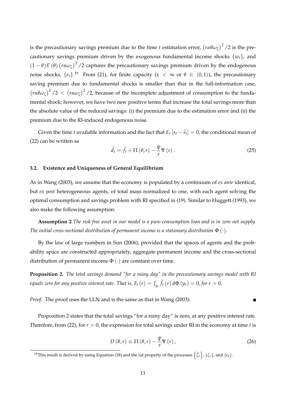is the precautionary savings premium due to the time  $t$  estimation error,  $\left(r\alpha\theta\omega_\zeta\right)^2$  /2 is the precautionary savings premium driven by the exogenous fundamental income shocks  $\{w_t\}$ , and  $(1 - \theta) \Gamma(\theta)$   $(r \alpha \omega_{\zeta})^2$  /2 captures the precautionary savings premium driven by the endogenous noise shocks,  $\{e_t\}$ .<sup>19</sup> From (21), for finite capacity ( $\kappa < \infty$  or  $\theta \in (0,1)$ ), the precautionary saving premium due to fundamental shocks is smaller than that in the full-information case,  $(r\alpha\theta\omega_\zeta)^2/2 < (r\alpha\omega_\zeta)^2/2$ , because of the incomplete adjustment of consumption to the fundamental shock; however, we have two new positive terms that increase the total savings more than the absolute value of the reduced savings: (i) the premium due to the estimation error and (ii) the premium due to the RI-induced endogenous noise.

Given the time *t* available information and the fact that  $E_t [s_t - \hat{s}_t] = 0$ , the conditional mean of (22) can be written as

$$
\widetilde{d}_{t} = \widetilde{f}_{t} + \Pi\left(\theta, r\right) - \frac{\psi}{r} \Psi\left(r\right). \tag{25}
$$

#### **3.2. Existence and Uniqueness of General Equilibrium**

As in Wang (2003), we assume that the economy is populated by a continuum of *ex ante* identical, but *ex post* heterogeneous agents, of total mass normalized to one, with each agent solving the optimal consumption and savings problem with RI specified in (19). Similar to Huggett (1993), we also make the following assumption:

**Assumption 2** *The risk-free asset in our model is a pure-consumption loan and is in zero net supply. The initial cross-sectional distribution of permanent income is a stationary distribution*  $\Phi(\cdot)$ *.* 

By the law of large numbers in Sun (2006), provided that the spaces of agents and the probability space are constructed appropriately, aggregate permanent income and the cross-sectional distribution of permanent income  $\Phi(\cdot)$  are constant over time.

**Proposition 2.** *The total savings demand "for a rainy day" in the precautionary savings model with RI equals zero for any positive interest rate. That is,*  $F_t$  $(r) = \int_{y_t} \widetilde{f}_t(r) \, d\Phi\left(y_t\right) = 0$ *, for*  $r > 0$ *.* 

*Proof.* The proof uses the LLN and is the same as that in Wang (2003).

Proposition 2 states that the total savings "for a rainy day" is zero, at any positive interest rate. Therefore, from (22), for  $r > 0$ , the expression for total savings under RI in the economy at time *t* is

$$
D(\theta, r) \equiv \Pi(\theta, r) - \frac{\psi}{r} \Psi(r), \qquad (26)
$$

 $\blacksquare$ 

<sup>&</sup>lt;sup>19</sup>This result is derived by using Equation (18) and the iid property of the processes  $\left\{\widehat{\zeta}_t\right\}$ ,  $\{\zeta_t\}$ , and  $\{e_t\}$ .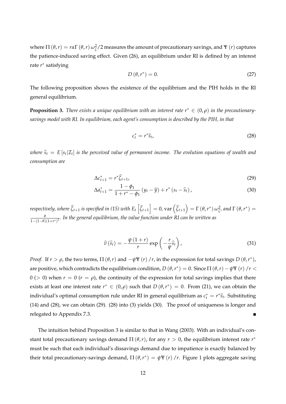where  $\Pi(\theta,r)=r$ *α*Γ  $(\theta,r)$   $\omega_{\zeta}^2/2$  measures the amount of precautionary savings, and Ψ  $(r)$  captures the patience-induced saving effect. Given (26), an equilibrium under RI is defined by an interest rate *r* ∗ satisfying

$$
D(\theta, r^*) = 0. \tag{27}
$$

The following proposition shows the existence of the equilibrium and the PIH holds in the RI general equilibrium.

**Proposition 3.** *There exists a unique equilibrium with an interest rate*  $r^* \in (0,\rho)$  *in the precautionarysavings model with RI. In equilibrium, each agent's consumption is described by the PIH, in that*

$$
c_t^* = r^* \hat{s}_t, \tag{28}
$$

 $\omega$ here  $\widehat{s}_t \ = \ E\left[s_t|\mathcal{I}_t\right]$  is the perceived value of permanent income. The evolution equations of wealth and *consumption are*

$$
\Delta c_{t+1}^* = r^* \widehat{\zeta}_{t+1},\tag{29}
$$

$$
\Delta a_{t+1}^* = \frac{1 - \phi_1}{1 + r^* - \phi_1} \left( y_t - \overline{y} \right) + r^* \left( s_t - \widehat{s}_t \right), \tag{30}
$$

respectively, where  $\widehat{\zeta}_{t+1}$  is specified in (15) with  $E_t\left[\widehat{\zeta}_{t+1}\right]=0$ ,  $\text{var}\left(\widehat{\zeta}_{t+1}\right)=\Gamma\left(\theta,r^*\right)\omega_{\widetilde{\zeta}}^2$ , and  $\Gamma\left(\theta,r^*\right)=0$ *θ* 1−(1−*θ*)(1+*r* ∗) 2 *. In the general equilibrium, the value function under RI can be written as*

$$
\widehat{v}(\widehat{s}_t) = -\frac{\psi(1+r)}{r} \exp\left(-\frac{r}{\psi}\widehat{s}_t\right),\tag{31}
$$

*Proof.* If  $r > \rho$ , the two terms,  $\Pi(\theta, r)$  and  $-\psi \Psi(r) / r$ , in the expression for total savings  $D(\theta, r^*)$ , are positive, which contradicts the equilibrium condition,  $D(\theta, r^*) = 0$ . Since  $\Pi(\theta, r) - \psi \Psi(r) / r <$  $0$  (> 0) when  $r = 0$  ( $r = \rho$ ), the continuity of the expression for total savings implies that there exists at least one interest rate  $r^* \in (0,\rho)$  such that  $D(\theta,r^*) = 0$ . From (21), we can obtain the individual's optimal consumption rule under RI in general equilibrium as  $c_t^* = r^* \widehat{s}_t$ . Substituting (14) and (28), we can obtain (29). (28) into (3) yields (30). The proof of uniqueness is longer and relegated to Appendix 7.3.  $\blacksquare$ 

The intuition behind Proposition 3 is similar to that in Wang (2003). With an individual's constant total precautionary savings demand  $\Pi(\theta, r)$ , for any  $r > 0$ , the equilibrium interest rate  $r^*$ must be such that each individual's dissavings demand due to impatience is exactly balanced by their total precautionary-savings demand,  $\Pi(\theta, r^*) = \psi \Psi(r) / r$ . Figure 1 plots aggregate saving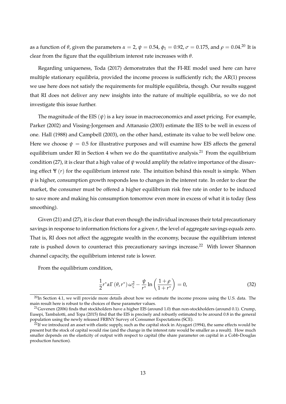as a function of  $\theta$ , given the parameters  $\alpha = 2$ ,  $\psi = 0.54$ ,  $\phi_1 = 0.92$ ,  $\sigma = 0.175$ , and  $\rho = 0.04$ .<sup>20</sup> It is clear from the figure that the equilibrium interest rate increases with *θ*.

Regarding uniqueness, Toda (2017) demonstrates that the FI-RE model used here can have multiple stationary equilibria, provided the income process is sufficiently rich; the AR(1) process we use here does not satisfy the requirements for multiple equilibria, though. Our results suggest that RI does not deliver any new insights into the nature of multiple equilibria, so we do not investigate this issue further.

The magnitude of the EIS  $(\psi)$  is a key issue in macroeconomics and asset pricing. For example, Parker (2002) and Vissing-Jorgensen and Attanasio (2003) estimate the IES to be well in excess of one. Hall (1988) and Campbell (2003), on the other hand, estimate its value to be well below one. Here we choose  $\psi = 0.5$  for illustrative purposes and will examine how EIS affects the general equilibrium under RI in Section 4 when we do the quantitative analysis.<sup>21</sup> From the equilibrium condition (27), it is clear that a high value of *ψ* would amplify the relative importance of the dissaving effect  $\Psi(r)$  for the equilibrium interest rate. The intuition behind this result is simple. When *ψ* is higher, consumption growth responds less to changes in the interest rate. In order to clear the market, the consumer must be offered a higher equilibrium risk free rate in order to be induced to save more and making his consumption tomorrow even more in excess of what it is today (less smoothing).

Given (21) and (27), it is clear that even though the individual increases their total precautionary savings in response to information frictions for a given *r*, the level of aggregate savings equals zero. That is, RI does not affect the aggregate wealth in the economy, because the equilibrium interest rate is pushed down to counteract this precautionary savings increase.<sup>22</sup> With lower Shannon channel capacity, the equilibrium interest rate is lower.

From the equilibrium condition,

$$
\frac{1}{2}r^*\alpha\Gamma(\theta,r^*)\omega_{\zeta}^2 - \frac{\psi}{r^*}\ln\left(\frac{1+\rho}{1+r^*}\right) = 0,
$$
\n(32)

 $^{20}$ In Section 4.1, we will provide more details about how we estimate the income process using the U.S. data. The main result here is robust to the choices of these parameter values.

<sup>&</sup>lt;sup>21</sup> Guvenen (2006) finds that stockholders have a higher EIS (around 1.0) than non-stockholders (around 0.1). Crump, Eusepi, Tambalotti, and Topa (2015) find that the EIS is precisely and robustly estimated to be around 0.8 in the general population using the newly released FRBNY Survey of Consumer Expectations (SCE).

 $^{22}$ If we introduced an asset with elastic supply, such as the capital stock in Aiyagari (1994), the same effects would be present but the stock of capital would rise (and the change in the interest rate would be smaller as a result). How much smaller depends on the elasticity of output with respect to capital (the share parameter on capital in a Cobb-Douglas production function).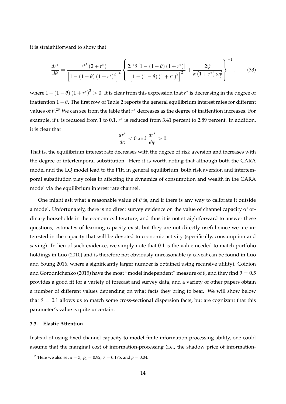it is straightforward to show that

$$
\frac{dr^*}{d\theta} = \frac{r^{*3} (2+r^*)}{\left[1-(1-\theta) (1+r^*)^2\right]^2} \left\{ \frac{2r^* \theta \left[1-(1-\theta) (1+r^*)\right]}{\left[1-(1-\theta) (1+r^*)^2\right]^2} + \frac{2\psi}{\alpha (1+r^*) \omega_{\zeta}^2} \right\}^{-1}.
$$
(33)

where  $1-(1-\theta)(1+r^*)^2>0$ . It is clear from this expression that  $r^*$  is decreasing in the degree of inattention 1 − *θ*. The first row of Table 2 reports the general equilibrium interest rates for different values of *θ*. <sup>23</sup> We can see from the table that *r* ∗ decreases as the degree of inattention increases. For example, if *θ* is reduced from 1 to 0.1, *r* ∗ is reduced from 3.41 percent to 2.89 percent. In addition, it is clear that

$$
\frac{dr^*}{d\alpha} < 0 \text{ and } \frac{dr^*}{d\psi} > 0.
$$

That is, the equilibrium interest rate decreases with the degree of risk aversion and increases with the degree of intertemporal substitution. Here it is worth noting that although both the CARA model and the LQ model lead to the PIH in general equilibrium, both risk aversion and intertemporal substitution play roles in affecting the dynamics of consumption and wealth in the CARA model via the equilibrium interest rate channel.

One might ask what a reasonable value of *θ* is, and if there is any way to calibrate it outside a model. Unfortunately, there is no direct survey evidence on the value of channel capacity of ordinary households in the economics literature, and thus it is not straightforward to answer these questions; estimates of learning capacity exist, but they are not directly useful since we are interested in the capacity that will be devoted to economic activity (specifically, consumption and saving). In lieu of such evidence, we simply note that 0.1 is the value needed to match portfolio holdings in Luo (2010) and is therefore not obviously unreasonable (a caveat can be found in Luo and Young 2016, where a significantly larger number is obtained using recursive utility). Coibion and Gorodnichenko (2015) have the most "model independent" measure of  $\theta$ , and they find  $\theta = 0.5$ provides a good fit for a variety of forecast and survey data, and a variety of other papers obtain a number of different values depending on what facts they bring to bear. We will show below that  $\theta = 0.1$  allows us to match some cross-sectional dispersion facts, but are cognizant that this parameter's value is quite uncertain.

# **3.3. Elastic Attention**

Instead of using fixed channel capacity to model finite information-processing ability, one could assume that the marginal cost of information-processing (i.e., the shadow price of information-

<sup>&</sup>lt;sup>23</sup>Here we also set  $\alpha = 3$ ,  $\phi_1 = 0.92$ ,  $\sigma = 0.175$ , and  $\rho = 0.04$ .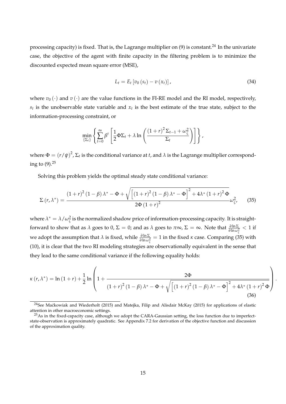processing capacity) is fixed. That is, the Lagrange multiplier on (9) is constant.<sup>24</sup> In the univariate case, the objective of the agent with finite capacity in the filtering problem is to minimize the discounted expected mean square error (MSE),

$$
L_{t} = E_{t} \left[ v_{0} \left( s_{t} \right) - v \left( x_{t} \right) \right], \tag{34}
$$

where  $v_0(\cdot)$  and  $v(\cdot)$  are the value functions in the FI-RE model and the RI model, respectively,  $s_t$  is the unobservable state variable and  $x_t$  is the best estimate of the true state, subject to the information-processing constraint, or

$$
\min_{\{\Sigma_t\}} \left\{ \sum_{t=0}^{\infty} \beta^t \left[ \frac{1}{2} \Phi \Sigma_t + \lambda \ln \left( \frac{(1+r)^2 \Sigma_{t-1} + \omega_{\zeta}^2}{\Sigma_t} \right) \right] \right\},\
$$

where  $\Phi = (r/\psi)^2$  ,  $\Sigma_t$  is the conditional variance at *t* , and  $\lambda$  is the Lagrange multiplier corresponding to  $(9)$ .<sup>25</sup>

Solving this problem yields the optimal steady state conditional variance:

$$
\Sigma(r,\lambda^*) = \frac{\left(1+r\right)^2 \left(1-\beta\right) \lambda^* - \Phi + \sqrt{\left[\left(1+r\right)^2 \left(1-\beta\right) \lambda^* - \Phi\right]^2 + 4\lambda^* \left(1+r\right)^2 \Phi}}{2\Phi\left(1+r\right)^2} \omega_{\zeta}^2, \qquad (35)
$$

where  $\lambda^*=\lambda/\omega_{\zeta}^2$  is the normalized shadow price of information-processing capacity. It is straightforward to show that as  $\lambda$  goes to 0, Σ = 0; and as  $\lambda$  goes to  $\pi\infty$ , Σ =  $\infty$ . Note that  $\frac{\partial \ln \Sigma}{\partial \ln \omega_{\zeta}^2} < 1$  if  $a$  we adopt the assumption that *λ* is fixed, while  $\frac{\partial \ln \Sigma}{\partial \ln \omega_{\zeta}^2} = 1$  in the fixed *κ* case. Comparing (35) with (10), it is clear that the two RI modeling strategies are observationally equivalent in the sense that they lead to the same conditional variance if the following equality holds:

$$
\kappa(r,\lambda^{*}) = \ln(1+r) + \frac{1}{2}\ln\left(1+\frac{2\Phi}{(1+r)^{2}(1-\beta)\lambda^{*}-\Phi+\sqrt{\left[(1+r)^{2}(1-\beta)\lambda^{*}-\Phi\right]^{2}+4\lambda^{*}(1+r)^{2}\Phi}}\right).
$$
\n(36)

<sup>&</sup>lt;sup>24</sup>See Maćkowiak and Wiederholt (2015) and Matejka, Filip and Alisdair McKay (2015) for applications of elastic attention in other macroeconomic settings.

 $^{25}$ As in the fixed-capacity case, although we adopt the CARA-Gaussian setting, the loss function due to imperfectstate-observation is approximately quadratic. See Appendix 7.2 for derivation of the objective function and discussion of the approximation quality.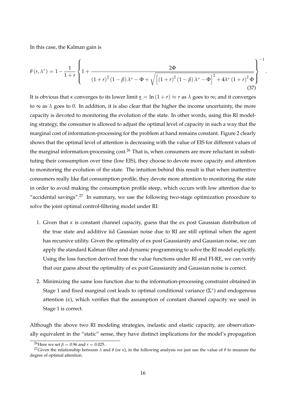In this case, the Kalman gain is

$$
\theta(r,\lambda^{*}) = 1 - \frac{1}{1+r} \left\{ 1 + \frac{2\Phi}{(1+r)^{2} (1-\beta)\lambda^{*} - \Phi + \sqrt{\left[ (1+r)^{2} (1-\beta)\lambda^{*} - \Phi \right]^{2} + 4\lambda^{*} (1+r)^{2} \Phi}} \right\}^{-1}
$$
\n(37)

.

It is obvious that *κ* converges to its lower limit  $\kappa = \ln(1+r) \approx r$  as  $\lambda$  goes to  $\infty$ ; and it converges to  $\infty$  as  $\lambda$  goes to 0. In addition, it is also clear that the higher the income uncertainty, the more capacity is devoted to monitoring the evolution of the state. In other words, using this RI modeling strategy, the consumer is allowed to adjust the optimal level of capacity in such a way that the marginal cost of information-processing for the problem at hand remains constant. Figure 2 clearly shows that the optimal level of attention is decreasing with the value of EIS for different values of the marginal information-processing  $cost<sup>26</sup>$  That is, when consumers are more reluctant in substituting their consumption over time (low EIS), they choose to devote more capacity and attention to monitoring the evolution of the state. The intuition behind this result is that when inattentive consumers really like flat consumption profile, they devote more attention to monitoring the state in order to avoid making the consumption profile steep, which occurs with low attention due to "accidental savings". $27$  In summary, we use the following two-stage optimization procedure to solve the joint optimal control-filtering model under RI:

- 1. Given that *κ* is constant channel capacity, guess that the ex post Gaussian distribution of the true state and additive iid Gaussian noise due to RI are still optimal when the agent has recursive utility. Given the optimality of ex post Gaussianity and Gaussian noise, we can apply the standard Kalman filter and dynamic programming to solve the RI model explicitly. Using the loss function derived from the value functions under RI and FI-RE, we can verify that our guess about the optimality of ex post Gaussianity and Gaussian noise is correct.
- 2. Minimizing the same loss function due to the information-processing constraint obtained in Stage 1 and fixed marginal cost leads to optimal conditional variance  $(\Sigma^*)$  and endogenous attention (*κ*), which verifies that the assumption of constant channel capacity we used in Stage 1 is correct.

Although the above two RI modeling strategies, inelastic and elastic capacity, are observationally equivalent in the "static" sense, they have distinct implications for the model's propagation

<sup>&</sup>lt;sup>26</sup>Here we set  $\beta = 0.96$  and  $r = 0.025$ .

<sup>&</sup>lt;sup>27</sup>Given the relationship between *λ* and *θ* (or *κ*), in the following analysis we just use the value of *θ* to measure the degree of optimal attention.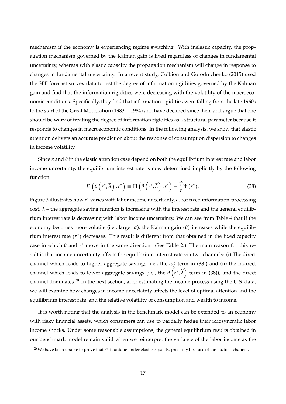mechanism if the economy is experiencing regime switching. With inelastic capacity, the propagation mechanism governed by the Kalman gain is fixed regardless of changes in fundamental uncertainty, whereas with elastic capacity the propagation mechanism will change in response to changes in fundamental uncertainty. In a recent study, Coibion and Gorodnichenko (2015) used the SPF forecast survey data to test the degree of information rigidities governed by the Kalman gain and find that the information rigidities were decreasing with the volatility of the macroeconomic conditions. Specifically, they find that information rigidities were falling from the late 1960s to the start of the Great Moderation (1983 − 1984) and have declined since then, and argue that one should be wary of treating the degree of information rigidities as a structural parameter because it responds to changes in macroeconomic conditions. In the following analysis, we show that elastic attention delivers an accurate prediction about the response of consumption dispersion to changes in income volatility.

Since *κ* and *θ* in the elastic attention case depend on both the equilibrium interest rate and labor income uncertainty, the equilibrium interest rate is now determined implicitly by the following function:

$$
D\left(\theta\left(r^*,\widetilde{\lambda}\right),r^*\right) \equiv \Pi\left(\theta\left(r^*,\widetilde{\lambda}\right),r^*\right) - \frac{\psi}{r}\Psi\left(r^*\right). \tag{38}
$$

Figure 3 illustrates how *r* ∗ varies with labor income uncertainty, *σ*, for fixed information-processing cost,  $\lambda$  – the aggregate saving function is increasing with the interest rate and the general equilibrium interest rate is decreasing with labor income uncertainty. We can see from Table 4 that if the economy becomes more volatile (i.e., larger *σ*), the Kalman gain (*θ*) increases while the equilibrium interest rate (*r* ∗ ) decreases. This result is different from that obtained in the fixed capacity case in which *θ* and *r* ∗ move in the same direction. (See Table 2.) The main reason for this result is that income uncertainty affects the equilibrium interest rate via two channels: (i) The direct channel which leads to higher aggregate savings (i.e., the  $\omega_{\tilde{\zeta}}^2$  term in (38)) and (ii) the indirect channel which leads to lower aggregate savings (i.e., the  $\theta\left(r^*,\widetilde\lambda\right)$  term in (38)), and the direct channel dominates.<sup>28</sup> In the next section, after estimating the income process using the U.S. data, we will examine how changes in income uncertainty affects the level of optimal attention and the equilibrium interest rate, and the relative volatility of consumption and wealth to income.

It is worth noting that the analysis in the benchmark model can be extended to an economy with risky financial assets, which consumers can use to partially hedge their idiosyncratic labor income shocks. Under some reasonable assumptions, the general equilibrium results obtained in our benchmark model remain valid when we reinterpret the variance of the labor income as the

<sup>&</sup>lt;sup>28</sup>We have been unable to prove that *r*\* is unique under elastic capacity, precisely because of the indirect channel.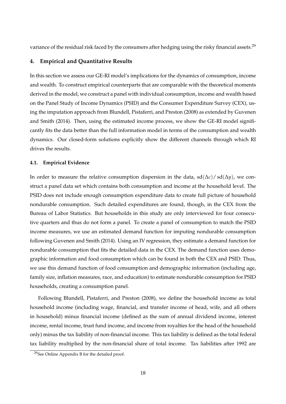variance of the residual risk faced by the consumers after hedging using the risky financial assets.<sup>29</sup>

## **4. Empirical and Quantitative Results**

In this section we assess our GE-RI model's implications for the dynamics of consumption, income and wealth. To construct empirical counterparts that are comparable with the theoretical moments derived in the model, we construct a panel with individual consumption, income and wealth based on the Panel Study of Income Dynamics (PSID) and the Consumer Expenditure Survey (CEX), using the imputation approach from Blundell, Pistaferri, and Preston (2008) as extended by Guvenen and Smith (2014). Then, using the estimated income process, we show the GE-RI model significantly fits the data better than the full information model in terms of the consumption and wealth dynamics. Our closed-form solutions explicitly show the different channels through which RI drives the results.

## **4.1. Empirical Evidence**

In order to measure the relative consumption dispersion in the data,  $sd(\Delta c)/ sd(\Delta y)$ , we construct a panel data set which contains both consumption and income at the household level. The PSID does not include enough consumption expenditure data to create full picture of household nondurable consumption. Such detailed expenditures are found, though, in the CEX from the Bureau of Labor Statistics. But households in this study are only interviewed for four consecutive quarters and thus do not form a panel. To create a panel of consumption to match the PSID income measures, we use an estimated demand function for imputing nondurable consumption following Guvenen and Smith (2014). Using an IV regression, they estimate a demand function for nondurable consumption that fits the detailed data in the CEX. The demand function uses demographic information and food consumption which can be found in both the CEX and PSID. Thus, we use this demand function of food consumption and demographic information (including age, family size, inflation measures, race, and education) to estimate nondurable consumption for PSID households, creating a consumption panel.

Following Blundell, Pistaferri, and Preston (2008), we define the household income as total household income (including wage, financial, and transfer income of head, wife, and all others in household) minus financial income (defined as the sum of annual dividend income, interest income, rental income, trust fund income, and income from royalties for the head of the household only) minus the tax liability of non-financial income. This tax liability is defined as the total federal tax liability multiplied by the non-financial share of total income. Tax liabilities after 1992 are

<sup>29</sup>See Online Appendix B for the detailed proof.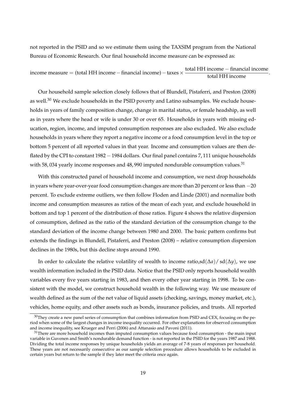not reported in the PSID and so we estimate them using the TAXSIM program from the National Bureau of Economic Research. Our final household income measure can be expressed as:

income measure = (total HH income – financial income) – taxes  $\times$   $\frac{\text{total HH income}}{\text{total HH income}}$ .

Our household sample selection closely follows that of Blundell, Pistaferri, and Preston (2008) as well.<sup>30</sup> We exclude households in the PSID poverty and Latino subsamples. We exclude households in years of family composition change, change in marital status, or female headship, as well as in years where the head or wife is under 30 or over 65. Households in years with missing education, region, income, and imputed consumption responses are also excluded. We also exclude households in years where they report a negative income or a food consumption level in the top or bottom 5 percent of all reported values in that year. Income and consumption values are then deflated by the CPI to constant 1982−1984 dollars. Our final panel contains 7, 111 unique households with 58, 034 yearly income responses and  $48$ , 990 imputed nondurable consumption values.<sup>31</sup>

With this constructed panel of household income and consumption, we next drop households in years where year-over-year food consumption changes are more than 20 percent or less than −20 percent. To exclude extreme outliers, we then follow Floden and Linde (2001) and normalize both income and consumption measures as ratios of the mean of each year, and exclude household in bottom and top 1 percent of the distribution of those ratios. Figure 4 shows the relative dispersion of consumption, defined as the ratio of the standard deviation of the consumption change to the standard deviation of the income change between 1980 and 2000. The basic pattern confirms but extends the findings in Blundell, Pistaferri, and Preston (2008) – relative consumption dispersion declines in the 1980s, but this decline stops around 1990.

In order to calculate the relative volatility of wealth to income ratio,sd(∆*a*)/ sd(∆*y*), we use wealth information included in the PSID data. Notice that the PSID only reports household wealth variables every five years starting in 1983, and then every other year starting in 1998. To be consistent with the model, we construct household wealth in the following way. We use measure of wealth defined as the sum of the net value of liquid assets (checking, savings, money market, etc.), vehicles, home equity, and other assets such as bonds, insurance policies, and trusts. All reported

 $30$ They create a new panel series of consumption that combines information from PSID and CEX, focusing on the period when some of the largest changes in income inequality occurred. For other explanations for observed consumption and income inequality, see Krueger and Perri (2006) and Attanasio and Pavoni (2011).

 $31$ There are more household incomes than imputed consumption values because food consumption - the main input variable in Guvenen and Smith's nondurable demand function - is not reported in the PSID for the years 1987 and 1988. Dividing the total income responses by unique households yields an average of 7-8 years of responses per household. These years are not necessarily consecutive as our sample selection procedure allows households to be excluded in certain years but return to the sample if they later meet the criteria once again.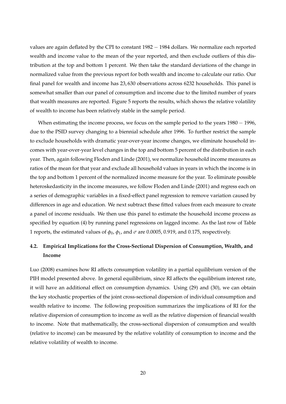values are again deflated by the CPI to constant 1982 − 1984 dollars. We normalize each reported wealth and income value to the mean of the year reported, and then exclude outliers of this distribution at the top and bottom 1 percent. We then take the standard deviations of the change in normalized value from the previous report for both wealth and income to calculate our ratio. Our final panel for wealth and income has 23, 630 observations across 6232 households. This panel is somewhat smaller than our panel of consumption and income due to the limited number of years that wealth measures are reported. Figure 5 reports the results, which shows the relative volatility of wealth to income has been relatively stable in the sample period.

When estimating the income process, we focus on the sample period to the years 1980 − 1996, due to the PSID survey changing to a biennial schedule after 1996. To further restrict the sample to exclude households with dramatic year-over-year income changes, we eliminate household incomes with year-over-year level changes in the top and bottom 5 percent of the distribution in each year. Then, again following Floden and Linde (2001), we normalize household income measures as ratios of the mean for that year and exclude all household values in years in which the income is in the top and bottom 1 percent of the normalized income measure for the year. To eliminate possible heteroskedasticity in the income measures, we follow Floden and Linde (2001) and regress each on a series of demographic variables in a fixed-effect panel regression to remove variation caused by differences in age and education. We next subtract these fitted values from each measure to create a panel of income residuals. We then use this panel to estimate the household income process as specified by equation (4) by running panel regressions on lagged income. As the last row of Table 1 reports, the estimated values of  $φ_0$ ,  $φ_1$ , and  $σ$  are 0.0005, 0.919, and 0.175, respectively.

# **4.2. Empirical Implications for the Cross-Sectional Dispersion of Consumption, Wealth, and Income**

Luo (2008) examines how RI affects consumption volatility in a partial equilibrium version of the PIH model presented above. In general equilibrium, since RI affects the equilibrium interest rate, it will have an additional effect on consumption dynamics. Using (29) and (30), we can obtain the key stochastic properties of the joint cross-sectional dispersion of individual consumption and wealth relative to income. The following proposition summarizes the implications of RI for the relative dispersion of consumption to income as well as the relative dispersion of financial wealth to income. Note that mathematically, the cross-sectional dispersion of consumption and wealth (relative to income) can be measured by the relative volatility of consumption to income and the relative volatility of wealth to income.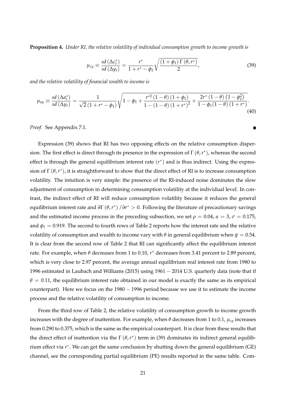**Proposition 4.** *Under RI, the relative volatility of individual consumption growth to income growth is*

$$
\mu_{cy} \equiv \frac{sd\left(\Delta c_t^*\right)}{sd\left(\Delta y_t\right)} = \frac{r^*}{1 + r^* - \phi_1} \sqrt{\frac{\left(1 + \phi_1\right)\Gamma\left(\theta, r^*\right)}{2}},\tag{39}
$$

 $\blacksquare$ 

*and the relative volatility of financial wealth to income is*

$$
\mu_{ay} \equiv \frac{sd\left(\Delta a_{t}^{*}\right)}{sd\left(\Delta y_{t}\right)} = \frac{1}{\sqrt{2}\left(1 + r^{*} - \phi_{1}\right)}\sqrt{1 - \phi_{1} + \frac{r^{*2}\left(1 - \theta\right)\left(1 + \phi_{1}\right)}{1 - \left(1 - \theta\right)\left(1 + r^{*}\right)^{2}} + \frac{2r^{*}\left(1 - \theta\right)\left(1 - \phi_{1}^{2}\right)}{1 - \phi_{1}\left(1 - \theta\right)\left(1 + r^{*}\right)}}.
$$
\n(40)

*Proof.* See Appendix 7.1.

Expression (39) shows that RI has two opposing effects on the relative consumption dispersion. The first effect is direct through its presence in the expression of  $\Gamma(\theta,r^*)$ , whereas the second effect is through the general equilibrium interest rate (*r* ∗ ) and is thus indirect. Using the expression of  $\Gamma(\theta, r^*)$ , it is straightforward to show that the direct effect of RI is to increase consumption volatility. The intuition is very simple: the presence of the RI-induced noise dominates the slow adjustment of consumption in determining consumption volatility at the individual level. In contrast, the indirect effect of RI will reduce consumption volatility because it reduces the general equilibrium interest rate and *∂*Γ (*θ*,*r* ∗ ) /*∂r* <sup>∗</sup> > 0. Following the literature of precautionary savings and the estimated income process in the preceding subsection, we set  $\rho = 0.04$ ,  $\alpha = 3$ ,  $\sigma = 0.175$ , and  $\phi_1 = 0.919$ . The second to fourth rows of Table 2 reports how the interest rate and the relative volatility of consumption and wealth to income vary with  $\theta$  in general equilibrium when  $\psi = 0.54$ . It is clear from the second row of Table 2 that RI can significantly affect the equilibrium interest rate. For example, when *θ* decreases from 1 to 0.10, *r* ∗ decreases from 3.41 percent to 2.89 percent, which is very close to 2.97 percent, the average annual equilibrium real interest rate from 1980 to 1996 estimated in Laubach and Williams (2015) using 1961 − 2014 U.S. quarterly data (note that if  $\theta$  = 0.11, the equilibrium interest rate obtained in our model is exactly the same as its empirical counterpart). Here we focus on the 1980 − 1996 period because we use it to estimate the income process and the relative volatility of consumption to income.

From the third row of Table 2, the relative volatility of consumption growth to income growth increases with the degree of inattention. For example, when  $\theta$  decreases from 1 to 0.1,  $\mu_{cv}$  increases from 0.290 to 0.375, which is the same as the empirical counterpart. It is clear from these results that the direct effect of inattention via the  $\Gamma(\theta, r^*)$  term in (39) dominates its indirect general equilibrium effect via *r* ∗ . We can get the same conclusion by shutting down the general equilibrium (GE) channel, see the corresponding partial equilibrium (PE) results reported in the same table. Com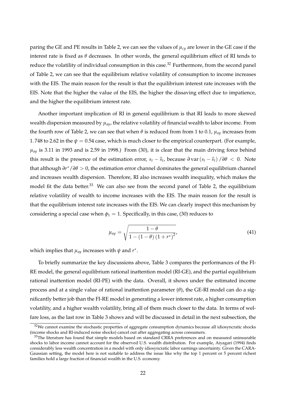paring the GE and PE results in Table 2, we can see the values of *µcy* are lower in the GE case if the interest rate is fixed as  $\theta$  decreases. In other words, the general equilibrium effect of RI tends to reduce the volatility of individual consumption in this case.<sup>32</sup> Furthermore, from the second panel of Table 2, we can see that the equilibrium relative volatility of consumption to income increases with the EIS. The main reason for the result is that the equilibrium interest rate increases with the EIS. Note that the higher the value of the EIS, the higher the dissaving effect due to impatience, and the higher the equilibrium interest rate.

Another important implication of RI in general equilibrium is that RI leads to more skewed wealth dispersion measured by *µay*, the relative volatility of financial wealth to labor income. From the fourth row of Table 2, we can see that when *θ* is reduced from from 1 to 0.1, *µay* increases from 1. 748 to 2.62 in the  $\psi = 0.54$  case, which is much closer to the empirical counterpart. (For example,  $\mu_{\alpha}$  is 3.11 in 1993 and is 2.59 in 1998.) From (30), it is clear that the main driving force behind this result is the presence of the estimation error,  $s_t - \hat{s}_t$ , because  $\partial \text{var}(s_t - \hat{s}_t) / \partial \theta < 0$ . Note that although *∂r* <sup>∗</sup>/*∂θ* > 0, the estimation error channel dominates the general equilibrium channel and increases wealth dispersion. Therefore, RI also increases wealth inequality, which makes the model fit the data better.<sup>33</sup> We can also see from the second panel of Table 2, the equilibrium relative volatility of wealth to income increases with the EIS. The main reason for the result is that the equilibrium interest rate increases with the EIS. We can clearly inspect this mechanism by considering a special case when  $\phi_1 = 1$ . Specifically, in this case, (30) reduces to

$$
\mu_{ay} = \sqrt{\frac{1-\theta}{1 - (1-\theta)(1+r^*)^2}},
$$
\n(41)

which implies that *µay* increases with *ψ* and *r* ∗ .

To briefly summarize the key discussions above, Table 3 compares the performances of the FI-RE model, the general equilibrium rational inattention model (RI-GE), and the partial equilibrium rational inattention model (RI-PE) with the data. Overall, it shows under the estimated income process and at a single value of rational inattention parameter (*θ*), the GE-RI model can do a significantly better job than the FI-RE model in generating a lower interest rate, a higher consumption volatility, and a higher wealth volatility, bring all of them much closer to the data. In terms of welfare loss, as the last row in Table 3 shows and will be discussed in detail in the next subsection, the

 $32$ We cannot examine the stochastic properties of aggregate consumption dynamics because all idiosyncratic shocks (income shocks and RI-induced noise shocks) cancel out after aggregating across consumers.

 $33$ The literature has found that simple models based on standard CRRA preferences and on measured uninsurable shocks to labor income cannot account for the observed U.S. wealth distribution. For example, Aiyagari (1994) finds considerably less wealth concentration in a model with only idiosyncratic labor earnings uncertainty. Given the CARA-Gaussian setting, the model here is not suitable to address the issue like why the top 1 percent or 5 percent richest families hold a large fraction of financial wealth in the U.S. economy.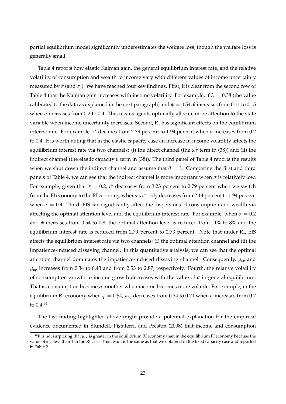partial equilibrium model significantly underestimates the welfare loss, though the welfare loss is generally small.

Table 4 reports how elastic Kalman gain, the general equilibrium interest rate, and the relative volatility of consumption and wealth to income vary with different values of income uncertainty measured by  $\sigma$  (and  $\sigma$ <sup>*y*</sup>). We have reached four key findings. First, it is clear from the second row of Table 4 that the Kalman gain increases with income volatility. For example, if  $\lambda = 0.38$  (the value calibrated to the data as explained in the next paragraph) and  $\psi = 0.54$ ,  $\theta$  increases from 0.11 to 0.15 when  $\sigma$  increases from 0.2 to 0.4. This means agents optimally allocate more attention to the state variable when income uncertainty increases. Second, RI has significant effects on the equilibrium interest rate. For example, *r* ∗ declines from 2.79 percent to 1.94 percent when *σ* increases from 0.2 to 0.4. It is worth noting that in the elastic capacity case an increase in income volatility affects the equilibrium interest rate via two channels: (i) the direct channel (the  $\omega_\zeta^2$  term in (38)) and (ii) the indirect channel (the elastic capacity  $\theta$  term in (38)). The third panel of Table 4 reports the results when we shut down the indirect channel and assume that  $\theta = 1$ . Comparing the first and third panels of Table 4, we can see that the indirect channel is more important when  $\sigma$  is relatively low. For example, given that  $\sigma = 0.2$ ,  $r^*$  decreases from 3.23 percent to 2.79 percent when we switch from the FI economy to the RI economy, whereas  $r^{*}$  only decreases from 2.14 percent to 1.94 percent when  $\sigma = 0.4$ . Third, EIS can significantly affect the dispersions of consumption and wealth via affecting the optimal attention level and the equilibrium interest rate. For example, when  $\sigma = 0.2$ and  $\psi$  increases from 0.54 to 0.8, the optimal attention level is reduced from 11% to 8% and the equilibrium interest rate is reduced from 2.79 percent to 2.73 percent. Note that under RI, EIS affects the equilibrium interest rate via two channels: (i) the optimal attention channel and (ii) the impatience-induced dissaving channel. In this quantitative analysis, we can see that the optimal attention channel dominates the impatience-induced dissaving channel. Consequently, *µcy* and  $\mu_{ay}$  increases from 0.34 to 0.43 and from 2.53 to 2.87, respectively. Fourth, the relative volatility of consumption growth to income growth decreases with the value of  $\sigma$  in general equilibrium. That is, consumption becomes smoother when income becomes more volatile. For example, in the equilibrium RI economy when  $\psi = 0.54$ ,  $\mu_{cy}$  decreases from 0.34 to 0.21 when  $\sigma$  increases from 0.2 to 0.4.<sup>34</sup>

The last finding highlighted above might provide a potential explanation for the empirical evidence documented in Blundell, Pistaferri, and Preston (2008) that income and consumption

 $^{34}$ It is not surprising that  $\mu_{cy}$  is greater in the equilibrium RI economy than in the equilibrium FI economy because the value of *θ* is less than 1 in the RI case. This result is the same as that we obtained in the fixed capacity case and reported in Table 2.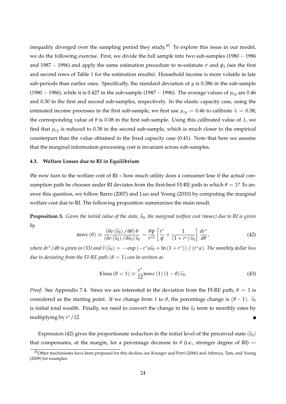inequality diverged over the sampling period they study.<sup>35</sup> To explore this issue in our model, we do the following exercise. First, we divide the full sample into two sub-samples (1980 − 1986 and 1987 − 1996) and apply the same estimation procedure to re-estimate *σ* and *φ*<sup>1</sup> (see the first and second rows of Table 1 for the estimation results). Household income is more volatile in late sub-periods than earlier ones. Specifically, the standard deviation of  $\gamma$  is 0.386 in the sub-sample (1980 − 1986), while it is 0.427 in the sub-sample (1987 − 1996). The average values of *µcy* are 0.46 and 0.30 in the first and second sub-samples, respectively. In the elastic capacity case, using the estimated income processes in the first sub-sample, we first use  $\mu_{cy} = 0.46$  to calibrate  $\lambda = 0.38$ ; the corresponding value of *θ* is 0.08 in the first sub-sample. Using this calibrated value of *λ*, we find that  $\mu_{cy}$  is reduced to 0.38 in the second sub-sample, which is much closer to the empirical counterpart than the value obtained in the fixed capacity case (0.41). Note that here we assume that the marginal information-processing cost is invariant across sub-samples.

#### **4.3. Welfare Losses due to RI in Equilibrium**

We now turn to the welfare cost of RI – how much utility does a consumer lose if the actual consumption path he chooses under RI deviates from the first-best FI-RE path in which  $\theta = 1$ ? To answer this question, we follow Barro (2007) and Luo and Young (2010) by computing the marginal welfare cost due to RI. The following proposition summarizes the main result.

**Proposition 5.** Given the initial value of the state,  $\hat{s}_0$ , the marginal welfare cost (mwc) due to RI is given *by*

$$
\text{mwc}(\theta) \equiv \frac{\left(\partial v\left(\hat{s}_0\right)/\partial\theta\right)\theta}{\left(\partial v\left(\hat{s}_0\right)/\partial\hat{s}_0\right)\hat{s}_0} = \frac{\theta\psi}{r^{*2}} \left[\frac{r^*}{\psi} + \frac{1}{\left(1+r^*\right)\hat{s}_0}\right] \frac{dr^*}{d\theta'},\tag{42}
$$

*where dr*\* / d $\theta$  *is given in (33) and*  $\widehat{v}(\widehat{s}_0) = -\exp(-r^*\alpha\widehat{s}_0 + \ln(1+r^*))$  /  $(r^*\alpha)$ . The monthly dollar loss *due to deviating from the FI-RE path*  $(\theta = 1)$  *can be written as* 

$$
\$ \text{loss} \left( \theta < 1 \right) \equiv \frac{r^*}{12} \text{mwc} \left( 1 \right) \left( 1 - \theta \right) \hat{s}_0. \tag{43}
$$

*Proof.* See Appendix 7.4. Since we are interested in the deviation from the FI-RE path,  $\theta = 1$  is considered as the starting point. If we change from 1 to  $\theta$ , the percentage change is  $(\theta - 1)$ .  $\hat{s}_0$ is initial total wealth. Finally, we need to convert the change in the  $\hat{s}_0$  term to monthly rates by multiplying by *r* ∗/12.

Expression (42) gives the proportionate reduction in the initial level of the perceived state  $(\hat{s}_0)$ that compensates, at the margin, for a percentage decrease in  $\theta$  (i.e., stronger degree of RI) —

<sup>&</sup>lt;sup>35</sup>Other mechanisms have been proposed for this decline; see Krueger and Perri (2006) and Athreya, Tam, and Young (2009) for examples.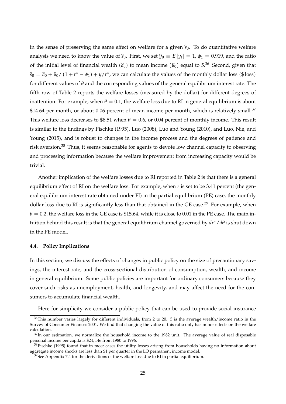in the sense of preserving the same effect on welfare for a given  $\hat{s}_0$ . To do quantitative welfare analysis we need to know the value of  $\hat{s}_0$ . First, we set  $\hat{y}_0 \equiv E[y_t] = 1$ ,  $\phi_1 = 0.919$ , and the ratio of the initial level of financial wealth  $(\hat{a}_0)$  to mean income  $(\hat{y}_0)$  equal to 5.<sup>36</sup> Second, given that  $\widehat{s}_0 = \widehat{a}_0 + \widehat{y}_0/ (1 + r^* - \phi_1) + \overline{y}/r^*$ , we can calculate the values of the monthly dollar loss (\$loss) for different values of *θ* and the corresponding values of the general equilibrium interest rate. The fifth row of Table 2 reports the welfare losses (measured by the dollar) for different degrees of inattention. For example, when  $\theta = 0.1$ , the welfare loss due to RI in general equilibrium is about \$14.64 per month, or about 0.06 percent of mean income per month, which is relatively small.<sup>37</sup> This welfare loss decreases to \$8.51 when  $\theta = 0.6$ , or 0.04 percent of monthly income. This result is similar to the findings by Pischke (1995), Luo (2008), Luo and Young (2010), and Luo, Nie, and Young (2015), and is robust to changes in the income process and the degrees of patience and risk aversion.<sup>38</sup> Thus, it seems reasonable for agents to devote low channel capacity to observing and processing information because the welfare improvement from increasing capacity would be trivial.

Another implication of the welfare losses due to RI reported in Table 2 is that there is a general equilibrium effect of RI on the welfare loss. For example, when *r* is set to be 3.41 percent (the general equilibrium interest rate obtained under FI) in the partial equilibrium (PE) case, the monthly dollar loss due to RI is significantly less than that obtained in the GE case.<sup>39</sup> For example, when  $\theta$  = 0.2, the welfare loss in the GE case is \$15.64, while it is close to 0.01 in the PE case. The main intuition behind this result is that the general equilibrium channel governed by *dr*∗/*dθ* is shut down in the PE model.

#### **4.4. Policy Implications**

In this section, we discuss the effects of changes in public policy on the size of precautionary savings, the interest rate, and the cross-sectional distribution of consumption, wealth, and income in general equilibrium. Some public policies are important for ordinary consumers because they cover such risks as unemployment, health, and longevity, and may affect the need for the consumers to accumulate financial wealth.

Here for simplicity we consider a public policy that can be used to provide social insurance

 $36$ This number varies largely for different individuals, from 2 to 20. 5 is the average wealth/income ratio in the Survey of Consumer Finances 2001. We find that changing the value of this ratio only has minor effects on the welfare calculation.

 $37$ In our estimation, we normalize the household income to the 1982 unit. The average value of real disposable personal income per capita is \$24, 146 from 1980 to 1996.

 $38$ Pischke (1995) found that in most cases the utility losses arising from households having no information about aggregate income shocks are less than \$1 per quarter in the LQ permanent income model.

 $39$ See Appendix 7.4 for the derivations of the welfare loss due to RI in partial equilibrium.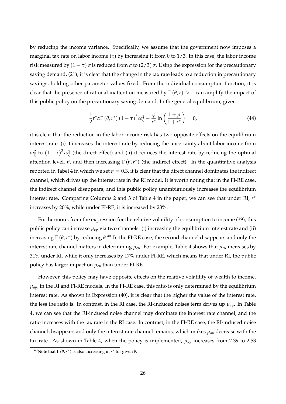by reducing the income variance. Specifically, we assume that the government now imposes a marginal tax rate on labor income (*τ*) by increasing it from 0 to 1/3. In this case, the labor income risk measured by  $(1 - \tau)$  *σ* is reduced from  $\sigma$  to  $(2/3)$   $\sigma$ . Using the expression for the precautionary saving demand, (21), it is clear that the change in the tax rate leads to a reduction in precautionary savings, holding other parameter values fixed. From the individual consumption function, it is clear that the presence of rational inattention measured by  $\Gamma(\theta,r) > 1$  can amplify the impact of this public policy on the precautionary saving demand. In the general equilibrium, given

$$
\frac{1}{2}r^*\alpha\Gamma\left(\theta,r^*\right)\left(1-\tau\right)^2\omega_{\zeta}^2-\frac{\psi}{r^*}\ln\left(\frac{1+\rho}{1+r^*}\right)=0,\tag{44}
$$

it is clear that the reduction in the labor income risk has two opposite effects on the equilibrium interest rate: (i) it increases the interest rate by reducing the uncertainty about labor income from  $ω$ <sup>2</sup><sub>ζ</sub> to  $(1 - τ)^2 ω$ <sub>ζ</sub> (the direct effect) and (ii) it reduces the interest rate by reducing the optimal attention level,  $\theta$ , and then increasing  $\Gamma(\theta, r^*)$  (the indirect effect). In the quantitative analysis reported in Tabel 4 in which we set  $\sigma = 0.3$ , it is clear that the direct channel dominates the indirect channel, which drives up the interest rate in the RI model. It is worth noting that in the FI-RE case, the indirect channel disappears, and this public policy unambiguously increases the equilibrium interest rate. Comparing Columns 2 and 3 of Table 4 in the paper, we can see that under RI, *r* ∗ increases by 20%, while under FI-RE, it is increased by 23%.

Furthermore, from the expression for the relative volatility of consumption to income (39), this public policy can increase  $\mu_{c}$  via two channels: (i) increasing the equilibrium interest rate and (ii) increasing Γ  $(\theta, r^*)$  by reducing  $\theta$ .<sup>40</sup> In the FI-RE case, the second channel disappears and only the interest rate channel matters in determining  $\mu_{cy}$ . For example, Table 4 shows that  $\mu_{cy}$  increases by 31% under RI, while it only increases by 17% under FI-RE, which means that under RI, the public policy has larger impact on *µcy* than under FI-RE.

However, this policy may have opposite effects on the relative volatility of wealth to income,  $\mu_{av}$ , in the RI and FI-RE models. In the FI-RE case, this ratio is only determined by the equilibrium interest rate. As shown in Expression (40), it is clear that the higher the value of the interest rate, the less the ratio is. In contrast, in the RI case, the RI-induced noises term drives up  $\mu_{a\mu}$ . In Table 4, we can see that the RI-induced noise channel may dominate the interest rate channel, and the ratio increases with the tax rate in the RI case. In contrast, in the FI-RE case, the RI-induced noise channel disappears and only the interest rate channel remains, which makes *µay* decrease with the tax rate. As shown in Table 4, when the policy is implemented, *µay* increases from 2.39 to 2.53

<sup>&</sup>lt;sup>40</sup>Note that Γ  $(θ, r^*)$  is also increasing in  $r^*$  for given  $θ$ .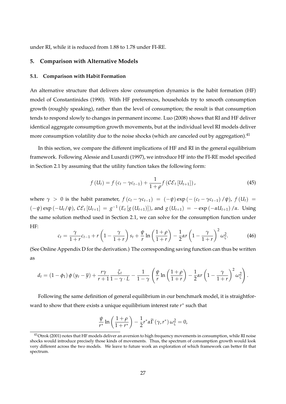under RI, while it is reduced from 1.88 to 1.78 under FI-RE.

# **5. Comparison with Alternative Models**

#### **5.1. Comparison with Habit Formation**

An alternative structure that delivers slow consumption dynamics is the habit formation (HF) model of Constantinides (1990). With HF preferences, households try to smooth consumption growth (roughly speaking), rather than the level of consumption; the result is that consumption tends to respond slowly to changes in permanent income. Luo (2008) shows that RI and HF deliver identical aggregate consumption growth movements, but at the individual level RI models deliver more consumption volatility due to the noise shocks (which are canceled out by aggregation).<sup>41</sup>

In this section, we compare the different implications of HF and RI in the general equilibrium framework. Following Alessie and Lusardi (1997), we introduce HF into the FI-RE model specified in Section 2.1 by assuming that the utility function takes the following form:

$$
f(U_t) = f(c_t - \gamma c_{t-1}) + \frac{1}{1+\rho} f(C\mathcal{E}_t[U_{t+1}]),
$$
\n(45)

where  $\gamma > 0$  is the habit parameter,  $f(c_t - \gamma c_{t-1}) = (-\psi) \exp(-\left(c_t - \gamma c_{t-1}\right)/\psi)$ ,  $f(U_t) =$  $(-\psi) \exp(-U_t/\psi)$ ,  $C\mathcal{E}_t[U_{t+1}] = g^{-1}(E_t[g(U_{t+1})])$ , and  $g(U_{t+1}) = -\exp(-\alpha U_{t+1})/\alpha$ . Using the same solution method used in Section 2.1, we can solve for the consumption function under HF:

$$
c_t = \frac{\gamma}{1+r}c_{t-1} + r\left(1 - \frac{\gamma}{1+r}\right)s_t + \frac{\psi}{r}\ln\left(\frac{1+\rho}{1+r}\right) - \frac{1}{2}\alpha r\left(1 - \frac{\gamma}{1+r}\right)^2\omega_{\zeta}^2.
$$
 (46)

(See Online Appendix D for the derivation.) The corresponding saving function can thus be written as

$$
d_t = (1 - \phi_1) \phi (y_t - \overline{y}) + \frac{r\gamma}{r+1} \frac{\zeta_t}{1 - \gamma \cdot L} - \frac{1}{1 - \gamma} \left( \frac{\psi}{r} \ln \left( \frac{1 + \rho}{1 + r} \right) - \frac{1}{2} \alpha r \left( 1 - \frac{\gamma}{1 + r} \right)^2 \omega_{\zeta}^2 \right).
$$

Following the same definition of general equilibrium in our benchmark model, it is straightforward to show that there exists a unique equilibrium interest rate *r* ∗ such that

$$
\frac{\psi}{r^*} \ln \left( \frac{1+\rho}{1+r^*} \right) - \frac{1}{2} r^* \alpha \widetilde{\Gamma} \left( \gamma, r^* \right) \omega_{\zeta}^2 = 0,
$$

<sup>&</sup>lt;sup>41</sup>Otrok (2001) notes that HF models deliver an aversion to high frequency movements in consumption, while RI noise shocks would introduce precisely those kinds of movements. Thus, the spectrum of consumption growth would look very different across the two models. We leave to future work an exploration of which framework can better fit that spectrum.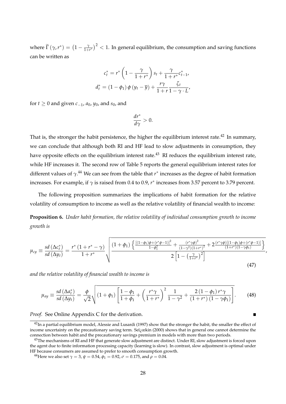where  $\widetilde{\Gamma}(\gamma, r^*) = \left(1 - \frac{\gamma}{1+r^*}\right)$  $\left(\frac{\gamma}{1+r^*}\right)^2 < 1$ . In general equilibrium, the consumption and saving functions can be written as

$$
c_t^* = r^* \left(1 - \frac{\gamma}{1 + r^*}\right) s_t + \frac{\gamma}{1 + r^*} c_{t-1}^*,
$$
  

$$
d_t^* = (1 - \phi_1) \phi \left(y_t - \overline{y}\right) + \frac{r\gamma}{1 + r} \frac{\zeta_t}{1 - \gamma \cdot L'}
$$

for *t* ≥ 0 and given  $c_{-1}$ ,  $a_0$ ,  $y_0$ , and  $s_0$ , and

$$
\frac{dr^*}{d\gamma}>0.
$$

That is, the stronger the habit persistence, the higher the equilibrium interest rate.<sup>42</sup> In summary, we can conclude that although both RI and HF lead to slow adjustments in consumption, they have opposite effects on the equilibrium interest rate.<sup>43</sup> RI reduces the equilibrium interest rate, while HF increases it. The second row of Table 5 reports the general equilibrium interest rates for different values of *γ*. <sup>44</sup> We can see from the table that *r* ∗ increases as the degree of habit formation increases. For example, if *γ* is raised from 0.4 to 0.9, *r* ∗ increases from 3.57 percent to 3.79 percent.

The following proposition summarizes the implications of habit formation for the relative volatility of consumption to income as well as the relative volatility of financial wealth to income:

**Proposition 6.** *Under habit formation, the relative volatility of individual consumption growth to income growth is*

$$
\mu_{cy} \equiv \frac{sd\left(\Delta c_t^*\right)}{sd\left(\Delta y_t\right)} = \frac{r^*\left(1+r^*-\gamma\right)}{1+r^*} \sqrt{\frac{\left((1+\phi_1)\left(\frac{\left[(1-\phi_1)\phi + (r^*\phi-1)\right]^2}{1-\phi_1^2} + \frac{(r^*\gamma\phi)^2}{(1-\gamma^2)(1+r^*)^2} + 2\frac{(r^*\gamma\phi)\left[(1-\phi_1)\phi + (r^*\phi-1)\right]\right)}{(1+r^*)(1-\gamma\phi_1)}\right)}}{2\left[1-\left(\frac{\gamma}{1+r^*}\right)^2\right]} \tag{47}
$$

*and the relative volatility of financial wealth to income is*

$$
\mu_{ay} \equiv \frac{sd\left(\Delta a_t^*\right)}{sd\left(\Delta y_t\right)} = \frac{\phi}{\sqrt{2}} \sqrt{\left(1+\phi_1\right)\left[\frac{1-\phi_1}{1+\phi_1} + \left(\frac{r^*\gamma}{1+r^*}\right)^2 \frac{1}{1-\gamma^2} + \frac{2\left(1-\phi_1\right)r^*\gamma}{\left(1+r^*\right)\left(1-\gamma\phi_1\right)}\right]}. \tag{48}
$$

*Proof.* See Online Appendix C for the derivation.

 $42$ In a partial equilibrium model, Alessie and Lusardi (1997) show that the stronger the habit, the smaller the effect of income uncertainty on the precautionary saving term. Seï $\chi$ eekin (2000) shows that in general one cannot determine the connection between habit and the precautionary savings premium in models with more than two periods.

 $^{43}$ The mechanisms of RI and HF that generate slow adjustment are distinct. Under RI, slow adjustment is forced upon the agent due to finite information processing capacity (learning is slow). In contrast, slow adjustment is optimal under HF because consumers are assumed to prefer to smooth consumption growth.

<sup>&</sup>lt;sup>44</sup>Here we also set  $\gamma = 3$ ,  $\psi = 0.54$ ,  $\phi_1 = 0.92$ ,  $\sigma = 0.175$ , and  $\rho = 0.04$ .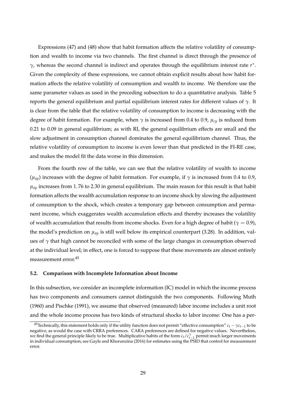Expressions (47) and (48) show that habit formation affects the relative volatility of consumption and wealth to income via two channels. The first channel is direct through the presence of *γ*, whereas the second channel is indirect and operates through the equilibrium interest rate *r* ∗ . Given the complexity of these expressions, we cannot obtain explicit results about how habit formation affects the relative volatility of consumption and wealth to income. We therefore use the same parameter values as used in the preceding subsection to do a quantitative analysis. Table 5 reports the general equilibrium and partial equilibrium interest rates for different values of *γ*. It is clear from the table that the relative volatility of consumption to income is decreasing with the degree of habit formation. For example, when *γ* is increased from 0.4 to 0.9, *µcy* is reduced from 0.21 to 0.09 in general equilibrium; as with RI, the general equilibrium effects are small and the slow adjustment in consumption channel dominates the general equilibrium channel. Thus, the relative volatility of consumption to income is even lower than that predicted in the FI-RE case, and makes the model fit the data worse in this dimension.

From the fourth row of the table, we can see that the relative volatility of wealth to income  $(μ<sub>av</sub>)$  increases with the degree of habit formation. For example, if  $γ$  is increased from 0.4 to 0.9,  $\mu_{\alpha}$  increases from 1.76 to 2.30 in general equilibrium. The main reason for this result is that habit formation affects the wealth accumulation response to an income shock by slowing the adjustment of consumption to the shock, which creates a temporary gap between consumption and permanent income, which exaggerates wealth accumulation effects and thereby increases the volatility of wealth accumulation that results from income shocks. Even for a high degree of habit ( $\gamma = 0.9$ ), the model's prediction on  $\mu_{\alpha y}$  is still well below its empirical counterpart (3.28). In addition, values of  $\gamma$  that high cannot be reconciled with some of the large changes in consumption observed at the individual level; in effect, one is forced to suppose that these movements are almost entirely measurement error.<sup>45</sup>

#### **5.2. Comparison with Incomplete Information about Income**

In this subsection, we consider an incomplete information (IC) model in which the income process has two components and consumers cannot distinguish the two components. Following Muth (1960) and Pischke (1991), we assume that observed (measured) labor income includes a unit root and the whole income process has two kinds of structural shocks to labor income: One has a per-

<sup>&</sup>lt;sup>45</sup>Technically, this statement holds only if the utility function does not permit "effective consumption"  $c_t - \gamma c_{t-1}$  to be negative, as would the case with CRRA preferences. CARA preferences are defined for negative values. Nevertheless, we find the general principle likely to be true. Multiplicative habits of the form  $c_t/c_{t-1}^{\gamma}$  permit much larger movements in in distribution are *Carely and V* home of 2010 for a stimulate using the PCD that can be a in individual consumption; see Gayle and Khorunzina (2016) for estimates using the PSID that control for measurement error.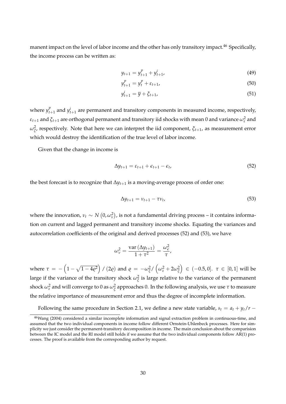manent impact on the level of labor income and the other has only transitory impact.<sup>46</sup> Specifically, the income process can be written as:

$$
y_{t+1} = y_{t+1}^p + y_{t+1}^i, \tag{49}
$$

$$
y_{t+1}^p = y_t^p + \varepsilon_{t+1},
$$
\n(50)

$$
y_{t+1}^i = \overline{y} + \xi_{t+1},\tag{51}
$$

where  $y_t^p$  $t_{t+1}$  and  $y_{t+1}^i$  are permanent and transitory components in measured income, respectively,  $\varepsilon_{t+1}$  and  $\xi_{t+1}$  are orthogonal permanent and transitory iid shocks with mean  $0$  and variance  $\omega_\varepsilon^2$  and *ω*2 *ξ* , respectively. Note that here we can interpret the iid component, *ξt*+1, as measurement error which would destroy the identification of the true level of labor income.

Given that the change in income is

$$
\Delta y_{t+1} = \varepsilon_{t+1} + \varepsilon_{t+1} - \varepsilon_t, \tag{52}
$$

the best forecast is to recognize that ∆*yt*+<sup>1</sup> is a moving-average process of order one:

$$
\Delta y_{t+1} = \nu_{t+1} - \tau \nu_t, \tag{53}
$$

where the innovation,  $v_t \sim N(0, \omega_v^2)$ , is not a fundamental driving process – it contains information on current and lagged permanent and transitory income shocks. Equating the variances and autocorrelation coefficients of the original and derived processes (52) and (53), we have

$$
\omega_{v}^{2} = \frac{\text{var}(\Delta y_{t+1})}{1+\tau^{2}} = \frac{\omega_{\epsilon}^{2}}{\tau},
$$

where  $\tau = -\left(1-\sqrt{1-4\varrho^2}\right)/(2\varrho)$  and  $\varrho = -\omega_\xi^2/\left(\omega_\varepsilon^2+2\omega_\xi^2\right)$  ∈ (−0.5, 0]. *τ* ∈ [0, 1] will be large if the variance of the transitory shock  $\omega_{\tilde{\zeta}}^2$  is large relative to the variance of the permanent shock  $\omega_\varepsilon^2$  and will converge to 0 as  $\omega_{\tilde\zeta}^2$  approaches 0. In the following analysis, we use  $\tau$  to measure the relative importance of measurement error and thus the degree of incomplete information.

Following the same procedure in Section 2.1, we define a new state variable,  $s_t = a_t + y_t/r - t$ 

<sup>46</sup>Wang (2004) considered a similar incomplete information and signal extraction problem in continuous-time, and assumed that the two individual components in income follow different Ornstein-Unlenbeck processes. Here for simplicity we just consider the permanent-transitory decomposition in income. The main conclusion about the comparision between the IC model and the RI model still holds if we assume that the two individual components follow AR(1) processes. The proof is available from the corresponding author by request.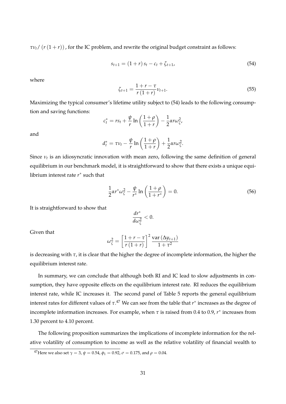$\tau v_t$ / ( $r(1+r)$ ), for the IC problem, and rewrite the original budget constraint as follows:

$$
s_{t+1} = (1+r)s_t - c_t + \zeta_{t+1}, \tag{54}
$$

where

$$
\zeta_{t+1} = \frac{1+r-\tau}{r(1+r)} \nu_{t+1}.\tag{55}
$$

Maximizing the typical consumer's lifetime utility subject to (54) leads to the following consumption and saving functions:

$$
c_t^* = rs_t + \frac{\psi}{r} \ln\left(\frac{1+\rho}{1+r}\right) - \frac{1}{2} \alpha r \omega_{\zeta}^2,
$$

and

$$
d_t^* = \tau v_t - \frac{\psi}{r} \ln\left(\frac{1+\rho}{1+r}\right) + \frac{1}{2} \alpha r \omega_{\zeta}^2.
$$

Since *ν<sup>t</sup>* is an idiosyncratic innovation with mean zero, following the same definition of general equilibrium in our benchmark model, it is straightforward to show that there exists a unique equilibrium interest rate *r* ∗ such that

$$
\frac{1}{2}\alpha r^* \omega_{\zeta}^2 - \frac{\psi}{r^*} \ln \left( \frac{1+\rho}{1+r^*} \right) = 0.
$$
 (56)

It is straightforward to show that

$$
\frac{dr^*}{d\omega_{\zeta}^2}<0.
$$

Given that

$$
\omega_{\zeta}^{2} = \left[\frac{1+r-\tau}{r(1+r)}\right]^{2} \frac{\text{var}\left(\Delta y_{t+1}\right)}{1+\tau^{2}}
$$

is decreasing with *τ*, it is clear that the higher the degree of incomplete information, the higher the equilibrium interest rate.

In summary, we can conclude that although both RI and IC lead to slow adjustments in consumption, they have opposite effects on the equilibrium interest rate. RI reduces the equilibrium interest rate, while IC increases it. The second panel of Table 5 reports the general equilibrium interest rates for different values of *τ*. <sup>47</sup> We can see from the table that *r* ∗ increases as the degree of incomplete information increases. For example, when *τ* is raised from 0.4 to 0.9, *r* ∗ increases from 1.30 percent to 4.10 percent.

The following proposition summarizes the implications of incomplete information for the relative volatility of consumption to income as well as the relative volatility of financial wealth to

<sup>&</sup>lt;sup>47</sup>Here we also set  $\gamma = 3$ ,  $\psi = 0.54$ ,  $\phi_1 = 0.92$ ,  $\sigma = 0.175$ , and  $\rho = 0.04$ .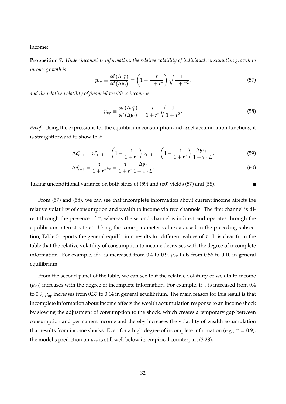income:

**Proposition 7.** *Under incomplete information, the relative volatility of individual consumption growth to income growth is*

$$
\mu_{cy} \equiv \frac{sd\left(\Delta c_t^*\right)}{sd\left(\Delta y_t\right)} = \left(1 - \frac{\tau}{1 + r^*}\right)\sqrt{\frac{1}{1 + \tau^2}},\tag{57}
$$

*and the relative volatility of financial wealth to income is*

$$
\mu_{ay} \equiv \frac{sd\left(\Delta a_t^*\right)}{sd\left(\Delta y_t\right)} = \frac{\tau}{1 + r^*} \sqrt{\frac{1}{1 + \tau^2}}.\tag{58}
$$

*Proof.* Using the expressions for the equilibrium consumption and asset accumulation functions, it is straightforward to show that

$$
\Delta c_{t+1}^* = r\zeta_{t+1} = \left(1 - \frac{\tau}{1+r^*}\right)\nu_{t+1} = \left(1 - \frac{\tau}{1+r^*}\right)\frac{\Delta y_{t+1}}{1-\tau \cdot L'},\tag{59}
$$

$$
\Delta a_{t+1}^* = \frac{\tau}{1+r^*} \nu_t = \frac{\tau}{1+r^*} \frac{\Delta y_t}{1-\tau \cdot L}.
$$
\n(60)

Taking unconditional variance on both sides of (59) and (60) yields (57) and (58).

From (57) and (58), we can see that incomplete information about current income affects the relative volatility of consumption and wealth to income via two channels. The first channel is direct through the presence of  $τ$ , whereas the second channel is indirect and operates through the equilibrium interest rate *r*\*. Using the same parameter values as used in the preceding subsection, Table 5 reports the general equilibrium results for different values of *τ*. It is clear from the table that the relative volatility of consumption to income decreases with the degree of incomplete information. For example, if *τ* is increased from 0.4 to 0.9, *µcy* falls from 0.56 to 0.10 in general equilibrium.

From the second panel of the table, we can see that the relative volatility of wealth to income (*µay*) increases with the degree of incomplete information. For example, if *τ* is increased from 0.4 to 0.9, *µay* increases from 0.37 to 0.64 in general equilibrium. The main reason for this result is that incomplete information about income affects the wealth accumulation response to an income shock by slowing the adjustment of consumption to the shock, which creates a temporary gap between consumption and permanent income and thereby increases the volatility of wealth accumulation that results from income shocks. Even for a high degree of incomplete information (e.g.,  $\tau = 0.9$ ), the model's prediction on  $\mu_{\alpha y}$  is still well below its empirical counterpart (3.28).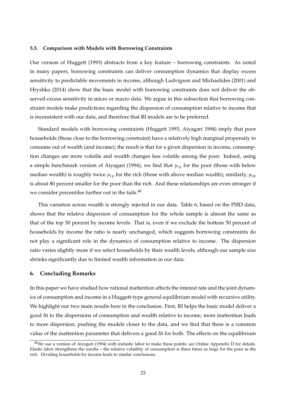#### **5.3. Comparison with Models with Borrowing Constraints**

Our version of Huggett (1993) abstracts from a key feature – borrowing constraints. As noted in many papers, borrowing constraints can deliver consumption dynamics that display excess sensitivity to predictable movements in income, although Ludvigson and Michaelides (2001) and Hryshko (2014) show that the basic model with borrowing constraints does not deliver the observed excess sensitivity in micro or macro data. We argue in this subsection that borrowing constraint models make predictions regarding the dispersion of consumption relative to income that is inconsistent with our data, and therefore that RI models are to be preferred.

Standard models with borrowing constraints (Huggett 1993, Aiyagari 1994) imply that poor households (those close to the borrowing constraint) have a relatively high marginal propensity to consume out of wealth (and income); the result is that for a given dispersion in income, consumption changes are more volatile and wealth changes less volatile among the poor. Indeed, using a simple benchmark version of Aiyagari (1994), we find that *µcy* for the poor (those with below median wealth) is roughly twice *µcy* for the rich (those with above median wealth); similarly, *µay* is about 80 percent smaller for the poor than the rich. And these relationships are even stronger if we consider percentiles further out in the tails.<sup>48</sup>

This variation across wealth is strongly rejected in our data. Table 6, based on the PSID data, shows that the relative dispersion of consumption for the whole sample is almost the same as that of the top 50 percent by income levels. That is, even if we exclude the bottom 50 percent of households by income the ratio is nearly unchanged, which suggests borrowing constraints do not play a significant role in the dynamics of consumption relative to income. The dispersion ratio varies slightly more if we select households by their wealth levels, although our sample size shrinks significantly due to limited wealth information in our data.

#### **6. Concluding Remarks**

In this paper we have studied how rational inattention affects the interest rate and the joint dynamics of consumption and income in a Huggett-type general equilibrium model with recursive utility. We highlight our two main results here in the conclusion. First, RI helps the basic model deliver a good fit to the dispersions of consumption and wealth relative to income; more inattention leads to more dispersion, pushing the models closer to the data, and we find that there is a common value of the inattention parameter that delivers a good fit for both. The effects on the equilibrium

<sup>&</sup>lt;sup>48</sup>We use a version of Aiyagari (1994) with inelastic labor to make these points; see Online Appendix D for details. Elastic labor strengthens the results – the relative volatility of consumption is three times as large for the poor as the rich. Dividing households by income leads to similar conclusions.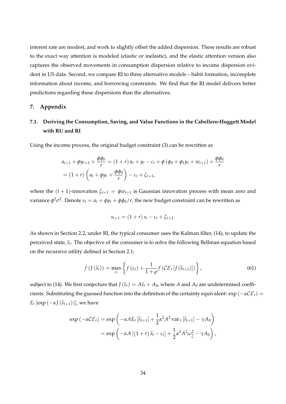interest rate are modest, and work to slightly offset the added dispersion. These results are robust to the exact way attention is modeled (elastic or inelastic), and the elastic attention version also captures the observed movements in consumption dispersion relative to income dispersion evident in US data. Second, we compare RI to three alternative models – habit formation, incomplete information about income, and borrowing constraints. We find that the RI model delivers better predictions regarding these dispersions than the alternatives.

#### **7. Appendix**

# **7.1. Deriving the Consumption, Saving, and Value Functions in the Cabellero-Huggett Model with RU and RI**

Using the income process, the original budget constraint (3) can be rewritten as

$$
a_{t+1} + \phi y_{t+1} + \frac{\phi \phi_0}{r} = (1+r) a_t + y_t - c_t + \phi (\phi_0 + \phi_1 y_t + w_{t+1}) + \frac{\phi \phi_0}{r}
$$
  
=  $(1+r) \left( a_t + \phi y_t + \frac{\phi \phi_0}{r} \right) - c_t + \zeta_{t+1}$ ,

where the  $(t + 1)$ -innovation  $\zeta_{t+1} = \phi w_{t+1}$  is Gaussian innovation process with mean zero and variance  $\phi^2\sigma^2$ . Denote  $s_t=a_t+\phi y_t+\phi\phi_0/r$ , the new budget constraint can be rewritten as

$$
s_{t+1} = (1+r) s_t - c_t + \zeta_{t+1}.
$$

As shown in Section 2.2, under RI, the typical consumer uses the Kalman filter, (14), to update the perceived state*,*  $\widehat{s}_t$ . The objective of the consumer is to solve the following Bellman equation based on the recursive utility defined in Section 2.1:

$$
f\left(I\left(\widehat{s}_{t}\right)\right)=\max_{c_{t}}\left\{f\left(c_{t}\right)+\frac{1}{1+\rho}f\left(\mathcal{CE}_{t}\left[I\left(\widehat{s}_{t+1}\right)\right]\right)\right\},\tag{61}
$$

subject to (14). We first conjecture that  $J(\hat{s}_t) = A\hat{s}_t + A_0$ , where *A* and  $A_0$  are undetermined coefficients. Substituting the guessed function into the definition of the certainty equivalent: exp (−*α*CE*t*) =  $E_t$  [exp  $(-\alpha J(\widehat{s}_{t+1}))$ ], we have

$$
\exp(-\alpha \mathcal{C} \mathcal{E}_t) = \exp\left(-\alpha A E_t \left[\hat{s}_{t+1}\right] + \frac{1}{2} \alpha^2 A^2 \operatorname{var}_t \left[\hat{s}_{t+1}\right] - \gamma A_0\right)
$$

$$
= \exp\left(-\alpha A \left[(1+r)\hat{s}_t - c_t\right] + \frac{1}{2} \alpha^2 A^2 \omega_{\hat{\xi}}^2 - \gamma A_0\right),
$$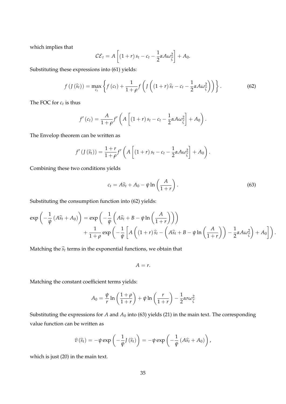which implies that

$$
\mathcal{CE}_t = A\left[ (1+r) s_t - c_t - \frac{1}{2} \alpha A \omega_{\widehat{\zeta}}^2 \right] + A_0.
$$

Substituting these expressions into (61) yields:

$$
f\left(J\left(\widehat{s}_{t}\right)\right)=\max_{c_{t}}\left\{f\left(c_{t}\right)+\frac{1}{1+\rho}f\left(J\left((1+r)\widehat{s}_{t}-c_{t}-\frac{1}{2}\alpha A\omega_{\widehat{\zeta}}^{2}\right)\right)\right\}.
$$
\n(62)

The FOC for  $c_t$  is thus

$$
f'(c_t) = \frac{A}{1+\rho} f'\left(A\left[(1+r)s_t - c_t - \frac{1}{2}\alpha A\omega_{\widehat{\zeta}}^2\right] + A_0\right).
$$

The Envelop theorem can be written as

$$
f'(J(\widehat{s}_t)) = \frac{1+r}{1+\rho} f'\left(A\left[(1+r)s_t - c_t - \frac{1}{2}\alpha A \omega_{\widehat{\zeta}}^2\right] + A_0\right).
$$

Combining these two conditions yields

$$
c_t = A\hat{s}_t + A_0 - \psi \ln\left(\frac{A}{1+r}\right). \tag{63}
$$

Substituting the consumption function into (62) yields:

$$
\exp\left(-\frac{1}{\psi}\left(A\hat{s}_t+A_0\right)\right)=\exp\left(-\frac{1}{\psi}\left(A\hat{s}_t+B-\psi\ln\left(\frac{A}{1+r}\right)\right)\right) +\frac{1}{1+\rho}\exp\left(-\frac{1}{\psi}\left[A\left((1+r)\hat{s}_t-\left(A\hat{s}_t+B-\psi\ln\left(\frac{A}{1+r}\right)\right)-\frac{1}{2}\alpha A\omega_{\hat{\zeta}}^2\right)+A_0\right]\right).
$$

Matching the  $\hat{s}_t$  terms in the exponential functions, we obtain that

$$
A=r.
$$

Matching the constant coefficient terms yields:

$$
A_0 = \frac{\psi}{r} \ln \left( \frac{1+\rho}{1+r} \right) + \psi \ln \left( \frac{r}{1+r} \right) - \frac{1}{2} \alpha r \omega_{\widehat{\zeta}}^2
$$

Substituting the expressions for  $A$  and  $A_0$  into (63) yields (21) in the main text. The corresponding value function can be written as

$$
\widehat{v}(\widehat{s}_t) = -\psi \exp\left(-\frac{1}{\psi}J\left(\widehat{s}_t\right)\right) = -\psi \exp\left(-\frac{1}{\psi}\left(A\widehat{s}_t + A_0\right)\right),\,
$$

which is just (20) in the main text.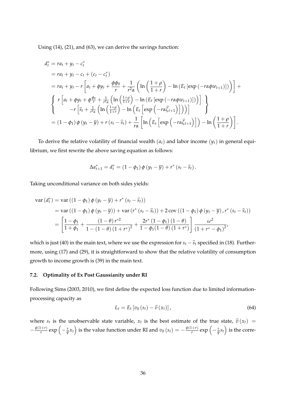Using (14), (21), and (63), we can derive the savings function:

$$
d_t^* = ra_t + y_t - c_t^*
$$
  
\n
$$
= ra_t + y_t - c_t + (c_t - c_t^*)
$$
  
\n
$$
= ra_t + y_t - r \left[ a_t + \phi y_t + \frac{\phi \phi_0}{r} + \frac{1}{r^2 \alpha} \left( \ln \left( \frac{1+\rho}{1+r} \right) - \ln \left( E_t \left[ \exp \left( -r \alpha \phi w_{t+1} \right) \right] \right) \right) \right] +
$$
  
\n
$$
\left\{ r \left[ a_t + \phi y_t + \phi \frac{\phi_0}{r} + \frac{1}{r^2 \alpha} \left( \ln \left( \frac{1+\rho}{1+r} \right) - \ln \left( E_t \left[ \exp \left( -r \alpha \phi w_{t+1} \right) \right] \right) \right) \right] - r \left[ \widehat{s}_t + \frac{1}{r^2 \alpha} \left( \ln \left( \frac{1+\rho}{1+r} \right) - \ln \left( E_t \left[ \exp \left( -r \alpha \widehat{\zeta}_{t+1} \right) \right] \right) \right) \right] \right\}
$$
  
\n
$$
= (1 - \phi_1) \phi \left( y_t - \overline{y} \right) + r \left( s_t - \widehat{s}_t \right) + \frac{1}{r \alpha} \left[ \ln \left( E_t \left[ \exp \left( -r \alpha \widehat{\zeta}_{t+1} \right) \right] \right) - \ln \left( \frac{1+\rho}{1+r} \right) \right].
$$

To derive the relative volatility of financial wealth  $(a_t)$  and labor income  $(y_t)$  in general equilibrium, we first rewrite the above saving equation as follows:

$$
\Delta a_{t+1}^* = d_t^* = (1 - \phi_1) \phi (y_t - \overline{y}) + r^* (s_t - \widehat{s}_t).
$$

Taking unconditional variance on both sides yields:

$$
\begin{split} \text{var}\left(d_{t}^{*}\right) &= \text{var}\left(\left(1-\phi_{1}\right)\phi\left(y_{t}-\overline{y}\right)+r^{*}\left(s_{t}-\widehat{s}_{t}\right)\right) \\ &= \text{var}\left(\left(1-\phi_{1}\right)\phi\left(y_{t}-\overline{y}\right)\right)+\text{var}\left(r^{*}\left(s_{t}-\widehat{s}_{t}\right)\right)+2\text{cov}\left(\left(1-\phi_{1}\right)\phi\left(y_{t}-\overline{y}\right),r^{*}\left(s_{t}-\widehat{s}_{t}\right)\right) \\ &= \left[\frac{1-\phi_{1}}{1+\phi_{1}}+\frac{\left(1-\theta\right)r^{*2}}{1-\left(1-\theta\right)\left(1+r^{*}\right)^{2}}+\frac{2r^{*}\left(1-\phi_{1}\right)\left(1-\theta\right)}{1-\phi_{1}\left(1-\theta\right)\left(1+r^{*}\right)}\right]\frac{\omega^{2}}{\left(1+r^{*}-\phi_{1}\right)^{2}} \end{split}
$$

which is just (40) in the main text, where we use the expression for  $s_t - \hat{s}_t$  specified in (18). Furthermore, using (17) and (29), it is straightforward to show that the relative volatility of consumption growth to income growth is (39) in the main text.

#### **7.2. Optimality of Ex Post Gaussianity under RI**

Following Sims (2003, 2010), we first define the expected loss function due to limited informationprocessing capacity as

$$
L_t = E_t \left[ v_0 \left( s_t \right) - \widehat{v} \left( x_t \right) \right], \tag{64}
$$

where  $s_t$  is the unobservable state variable,  $x_t$  is the best estimate of the true state,  $\hat{v}(x_t)$  =  $-\frac{\psi(1+r)}{r}$  $\frac{p(x+1)}{p}$  exp  $\left(-\frac{r}{\psi}x_t\right)$  is the value function under RI and  $v_0(s_t) = -\frac{\psi(1+r)}{r}$  $\frac{1+r}{r}$  exp  $\left(-\frac{r}{\psi}s_t\right)$  is the corre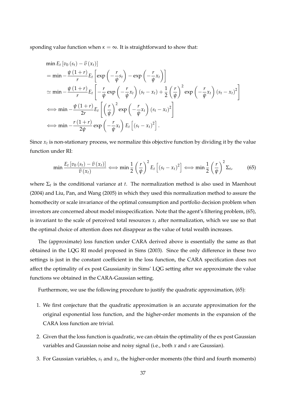sponding value function when  $\kappa = \infty$ . It is straightforward to show that:

$$
\begin{split}\n&\min E_t \left[ v_0 \left( s_t \right) - \hat{v} \left( x_t \right) \right] \\
&= \min - \frac{\psi \left( 1 + r \right)}{r} E_t \left[ \exp \left( - \frac{r}{\psi} s_t \right) - \exp \left( - \frac{r}{\psi} x_t \right) \right] \\
&\simeq \min - \frac{\psi \left( 1 + r \right)}{r} E_t \left[ - \frac{r}{\psi} \exp \left( - \frac{r}{\psi} x_t \right) \left( s_t - x_t \right) + \frac{1}{2} \left( \frac{r}{\psi} \right)^2 \exp \left( - \frac{r}{\psi} x_t \right) \left( s_t - x_t \right)^2 \right] \\
&\Longleftrightarrow \min - \frac{\psi \left( 1 + r \right)}{2r} E_t \left[ \left( \frac{r}{\psi} \right)^2 \exp \left( - \frac{r}{\psi} x_t \right) \left( s_t - x_t \right)^2 \right] \\
&\Longleftrightarrow \min - \frac{r \left( 1 + r \right)}{2 \psi} \exp \left( - \frac{r}{\psi} x_t \right) E_t \left[ \left( s_t - x_t \right)^2 \right].\n\end{split}
$$

Since *x<sup>t</sup>* is non-stationary process, we normalize this objective function by dividing it by the value function under RI:

$$
\min \frac{E_t \left[ v_0 \left( s_t \right) - \widehat{v} \left( x_t \right) \right]}{\widehat{v} \left( x_t \right)} \Longleftrightarrow \min \frac{1}{2} \left( \frac{r}{\psi} \right)^2 E_t \left[ \left( s_t - x_t \right)^2 \right] \Longleftrightarrow \min \frac{1}{2} \left( \frac{r}{\psi} \right)^2 \Sigma_t,
$$
\n(65)

where Σ*<sup>t</sup>* is the conditional variance at *t*. The normalization method is also used in Maenhout (2004) and Liu, Pan, and Wang (2005) in which they used this normalization method to assure the homothecity or scale invariance of the optimal consumption and portfolio decision problem when investors are concerned about model misspecification. Note that the agent's filtering problem, (65), is invariant to the scale of perceived total resources  $x_t$  after normalization, which we use so that the optimal choice of attention does not disappear as the value of total wealth increases.

The (approximate) loss function under CARA derived above is essentially the same as that obtained in the LQG RI model proposed in Sims (2003). Since the only difference in these two settings is just in the constant coefficient in the loss function, the CARA specification does not affect the optimality of ex post Gaussianity in Sims' LQG setting after we approximate the value functions we obtained in the CARA-Gaussian setting.

Furthermore, we use the following procedure to justify the quadratic approximation, (65):

- 1. We first conjecture that the quadratic approximation is an accurate approximation for the original exponential loss function, and the higher-order moments in the expansion of the CARA loss function are trivial.
- 2. Given that the loss function is quadratic, we can obtain the optimality of the ex post Gaussian variables and Gaussian noise and noisy signal (i.e., both *x* and *s* are Gaussian).
- 3. For Gaussian variables, *s<sup>t</sup>* and *x<sup>t</sup>* , the higher-order moments (the third and fourth moments)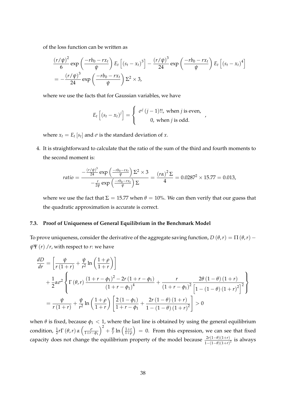of the loss function can be written as

$$
\frac{(r/\psi)^2}{6} \exp\left(\frac{-rb_0 - rx_t}{\psi}\right) E_t \left[ (s_t - x_t)^3 \right] - \frac{(r/\psi)^3}{24} \exp\left(\frac{-rb_0 - rx_t}{\psi}\right) E_t \left[ (s_t - x_t)^4 \right]
$$

$$
= -\frac{(r/\psi)^3}{24} \exp\left(\frac{-rb_0 - rx_t}{\psi}\right) \Sigma^2 \times 3,
$$

where we use the facts that for Gaussian variables, we have

$$
E_t [(s_t - x_t)^j] = \begin{cases} \sigma^j (j-1)!!, \text{ when } j \text{ is even,} \\ 0, \text{ when } j \text{ is odd.} \end{cases}
$$

,

where  $x_t = E_t[s_t]$  and  $\sigma$  is the standard deviation of  $x$ .

4. It is straightforward to calculate that the ratio of the sum of the third and fourth moments to the second moment is:

$$
ratio = \frac{-\frac{(r/\psi)^3}{24} \exp\left(\frac{-rb_0 - rx_t}{\psi}\right) \Sigma^2 \times 3}{-\frac{r}{2\psi} \exp\left(\frac{-rb_0 - rx_t}{\psi}\right) \Sigma} = \frac{(r\alpha)^2 \Sigma}{4} = 0.0287^2 \times 15.77 = 0.013,
$$

where we use the fact that  $\Sigma = 15.77$  when  $\theta = 10$ %. We can then verify that our guess that the quadratic approximation is accurate is correct.

## **7.3. Proof of Uniqueness of General Equilibrium in the Benchmark Model**

To prove uniqueness, consider the derivative of the aggregate saving function,  $D(\theta, r) = \Pi(\theta, r)$  –  $\psi \Psi(r)$  /*r*, with respect to *r*: we have

$$
\frac{dD}{dr} = \left[ \frac{\psi}{r(1+r)} + \frac{\psi}{r^2} \ln \left( \frac{1+\rho}{1+r} \right) \right] \n+ \frac{1}{2} \alpha \sigma^2 \left\{ \Gamma \left( \theta, r \right) \frac{\left(1+r-\phi_1\right)^2 - 2r \left(1+r-\phi_1\right)}{\left(1+r-\phi_1\right)^4} + \frac{r}{\left(1+r-\phi_1\right)^2} \frac{2\theta \left(1-\theta\right) \left(1+r\right)}{\left[1-\left(1-\theta\right) \left(1+r\right)^2\right]^2} \right\} \n= \frac{\psi}{r \left(1+r\right)} + \frac{\psi}{r^2} \ln \left( \frac{1+\rho}{1+r} \right) \left[ \frac{2 \left(1-\phi_1\right)}{1+r-\phi_1} + \frac{2r \left(1-\theta\right) \left(1+r\right)}{1-\left(1-\theta\right) \left(1+r\right)^2} \right] > 0
$$

when  $\theta$  is fixed, because  $\phi_1 < 1$ , where the last line is obtained by using the general equilibrium condition,  $\frac{1}{2}r\Gamma\left(\theta,r\right)$  *α*  $\left(\frac{\sigma}{1+r-\phi_1}\right)$  $\big)^2 + \frac{\psi}{r}$  $\frac{\psi}{r}$  ln  $\left(\frac{1+r}{1+\rho}\right)$ 1+*ρ*  $= 0$ . From this expression, we can see that fixed capacity does not change the equilibrium property of the model because  $\frac{2r(1-\theta)(1+r)}{1-(1-\theta)(1+r)^2}$  is always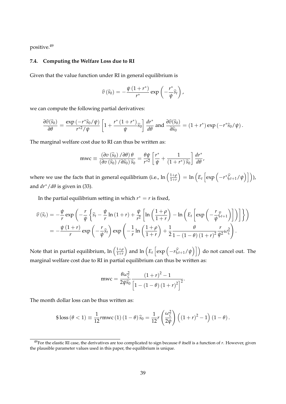positive.<sup>49</sup>

# **7.4. Computing the Welfare Loss due to RI**

Given that the value function under RI in general equilibrium is

$$
\widehat{v}(\widehat{s}_0) = -\frac{\psi(1+r^*)}{r^*} \exp\left(-\frac{r^*}{\psi}\widehat{s}_t\right),
$$

we can compute the following partial derivatives:

$$
\frac{\partial \widehat{v}(\widehat{s}_0)}{\partial \theta} = \frac{\exp\left(-r^*\widehat{s}_0/\psi\right)}{r^{*2}/\psi} \left[1 + \frac{r^*\left(1 + r^*\right)}{\psi}\widehat{s}_0\right] \frac{dr^*}{d\theta} \text{ and } \frac{\partial \widehat{v}(\widehat{s}_0)}{\partial \widehat{s}_0} = \left(1 + r^*\right) \exp\left(-r^*\widehat{s}_0/\psi\right).
$$

The marginal welfare cost due to RI can thus be written as:

$$
mwc \equiv \frac{\left(\partial v\left(\widehat{s}_0\right)/\partial\theta\right)\theta}{\left(\partial v\left(\widehat{s}_0\right)/\partial\widehat{s}_0\right)\widehat{s}_0} = \frac{\theta\psi}{r^{*2}}\left[\frac{r^*}{\psi} + \frac{1}{\left(1+r^*\right)\widehat{s}_0}\right]\frac{dr^*}{d\theta},
$$

where we use the facts that in general equilibrium (i.e.,  $\ln\left(\frac{1+\rho}{1+r}\right)$ 1+*r*  $=$  ln  $(E_t \left[ exp \left(-r^* \widehat{\zeta}_{t+1}/\psi\right)\right]),$ and  $dr^*/d\theta$  is given in (33).

In the partial equilibrium setting in which  $r^* = r$  is fixed,

$$
\hat{v}(\hat{s}_t) = -\frac{\psi}{r} \exp\left(-\frac{r}{\psi} \left\{\hat{s}_t - \frac{\psi}{r} \ln(1+r) + \frac{\psi}{r^2} \left[\ln\left(\frac{1+\rho}{1+r}\right) - \ln\left(E_t \left[\exp\left(-\frac{r}{\psi}\hat{\zeta}_{t+1}\right)\right]\right)\right]\right\}\right)
$$
\n
$$
= -\frac{\psi(1+r)}{r} \exp\left(-\frac{r}{\psi}\hat{s}_t\right) \exp\left(-\frac{1}{r} \ln\left(\frac{1+\rho}{1+r}\right) + \frac{1}{2} \frac{\theta}{1-(1-\theta)(1+r)^2} \frac{r}{\psi^2} \omega_{\zeta}^2\right).
$$

Note that in partial equilibrium,  $\ln\left(\frac{1+\rho}{1+r}\right)$ 1+*r*  $\int$  and  $\ln\left(E_t\left[\exp\left(-r\widehat{\zeta}_{t+1}/\psi\right)\right]\right)$  do not cancel out. The marginal welfare cost due to RI in partial equilibrium can thus be written as:

$$
mwc = \frac{\theta \omega_{\zeta}^2}{2\psi \widehat{s}_0} \frac{\left(1+r\right)^2 - 1}{\left[1 - \left(1-\theta\right)\left(1+r\right)^2\right]^2}.
$$

The month dollar loss can be thus written as:

$$
\$ \text{loss} \left( \theta < 1 \right) \equiv \frac{1}{12} r \text{mwc} \left( 1 \right) \left( 1 - \theta \right) \widehat{s}_0 = \frac{1}{12} r \left( \frac{\omega_{\zeta}^2}{2\psi} \right) \left( \left( 1 + r \right)^2 - 1 \right) \left( 1 - \theta \right).
$$

<sup>49</sup>For the elastic RI case, the derivatives are too complicated to sign because *θ* itself is a function of *r*. However, given the plausible parameter values used in this paper, the equilibrium is unique.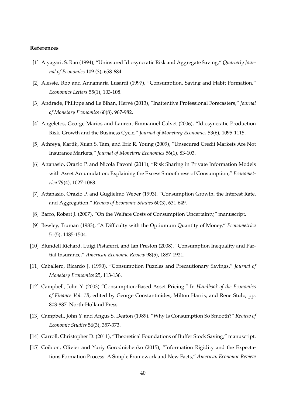#### **References**

- [1] Aiyagari, S. Rao (1994), "Uninsured Idiosyncratic Risk and Aggregate Saving," *Quarterly Journal of Economics* 109 (3), 658-684.
- [2] Alessie, Rob and Annamaria Lusardi (1997), "Consumption, Saving and Habit Formation," *Economics Letters* 55(1), 103-108.
- [3] Andrade, Philippe and Le Bihan, Hervé (2013), "Inattentive Professional Forecasters," *Journal of Monetary Economics* 60(8), 967-982.
- [4] Angeletos, George-Marios and Laurent-Emmanuel Calvet (2006), "Idiosyncratic Production Risk, Growth and the Business Cycle," *Journal of Monetary Economics* 53(6), 1095-1115.
- [5] Athreya, Kartik, Xuan S. Tam, and Eric R. Young (2009), "Unsecured Credit Markets Are Not Insurance Markets," *Journal of Monetary Economics* 56(1), 83-103.
- [6] Attanasio, Orazio P. and Nicola Pavoni (2011), "Risk Sharing in Private Information Models with Asset Accumulation: Explaining the Excess Smoothness of Consumption," *Econometrica* 79(4), 1027-1068.
- [7] Attanasio, Orazio P. and Guglielmo Weber (1993), "Consumption Growth, the Interest Rate, and Aggregation," *Review of Economic Studies* 60(3), 631-649.
- [8] Barro, Robert J. (2007), "On the Welfare Costs of Consumption Uncertainty," manuscript.
- [9] Bewley, Truman (1983), "A Difficulty with the Optiumum Quantity of Money," *Econometrica* 51(5), 1485-1504.
- [10] Blundell Richard, Luigi Pistaferri, and Ian Preston (2008), "Consumption Inequality and Partial Insurance," *American Economic Review* 98(5), 1887-1921.
- [11] Caballero, Ricardo J. (1990), "Consumption Puzzles and Precautionary Savings," *Journal of Monetary Economics* 25, 113-136.
- [12] Campbell, John Y. (2003) "Consumption-Based Asset Pricing." In *Handbook of the Economics of Finance Vol. 1B*, edited by George Constantinides, Milton Harris, and Rene Stulz, pp. 803-887. North-Holland Press.
- [13] Campbell, John Y. and Angus S. Deaton (1989), "Why Is Consumption So Smooth?" *Review of Economic Studies* 56(3), 357-373.
- [14] Carroll, Christopher D. (2011), "Theoretical Foundations of Buffer Stock Saving," manuscript.
- [15] Coibion, Olivier and Yuriy Gorodnichenko (2015), "Information Rigidity and the Expectations Formation Process: A Simple Framework and New Facts," *American Economic Review*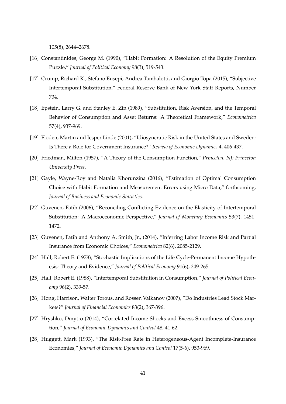105(8), 2644–2678.

- [16] Constantinides, George M. (1990), "Habit Formation: A Resolution of the Equity Premium Puzzle," *Journal of Political Economy* 98(3), 519-543.
- [17] Crump, Richard K., Stefano Eusepi, Andrea Tambalotti, and Giorgio Topa (2015), "Subjective Intertemporal Substitution," Federal Reserve Bank of New York Staff Reports, Number 734.
- [18] Epstein, Larry G. and Stanley E. Zin (1989), "Substitution, Risk Aversion, and the Temporal Behavior of Consumption and Asset Returns: A Theoretical Framework," *Econometrica* 57(4), 937-969.
- [19] Floden, Martin and Jesper Linde (2001), "Idiosyncratic Risk in the United States and Sweden: Is There a Role for Government Insurance?" *Review of Economic Dynamics* 4, 406-437.
- [20] Friedman, Milton (1957), "A Theory of the Consumption Function," *Princeton, NJ: Princeton University Press*.
- [21] Gayle, Wayne-Roy and Natalia Khorunzina (2016), "Estimation of Optimal Consumption Choice with Habit Formation and Measurement Errors using Micro Data," forthcoming, *Journal of Business and Economic Statistics.*
- [22] Guvenen, Fatih (2006), "Reconciling Conflicting Evidence on the Elasticity of Intertemporal Substitution: A Macroeconomic Perspective," *Journal of Monetary Economics* 53(7), 1451- 1472.
- [23] Guvenen, Fatih and Anthony A. Smith, Jr., (2014), "Inferring Labor Income Risk and Partial Insurance from Economic Choices," *Econometrica* 82(6), 2085-2129.
- [24] Hall, Robert E. (1978), "Stochastic Implications of the Life Cycle-Permanent Income Hypothesis: Theory and Evidence," *Journal of Political Economy* 91(6), 249-265.
- [25] Hall, Robert E. (1988), "Intertemporal Substitution in Consumption," *Journal of Political Economy* 96(2), 339-57.
- [26] Hong, Harrison, Walter Torous, and Rossen Valkanov (2007), "Do Industries Lead Stock Markets?" *Journal of Financial Economics* 83(2), 367-396.
- [27] Hryshko, Dmytro (2014), "Correlated Income Shocks and Excess Smoothness of Consumption," *Journal of Economic Dynamics and Control* 48, 41-62.
- [28] Huggett, Mark (1993), "The Risk-Free Rate in Heterogeneous-Agent Incomplete-Insurance Economies," *Journal of Economic Dynamics and Control* 17(5-6), 953-969.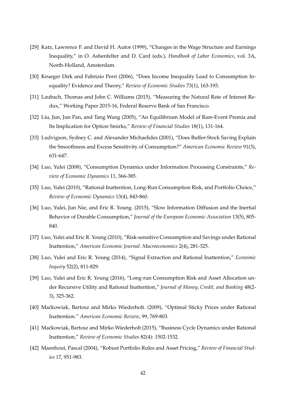- [29] Katz, Lawrence F. and David H. Autor (1999), "Changes in the Wage Structure and Earnings Inequality," in O. Ashenfelter and D. Card (eds.), *Handbook of Labor Economics*, vol. 3A, North-Holland, Amsterdam.
- [30] Krueger Dirk and Fabrizio Perri (2006), "Does Income Inequality Lead to Consumption Inequality? Evidence and Theory," *Review of Economic Studies* 73(1), 163-193.
- [31] Laubach, Thomas and John C. Williams (2015), "Measuring the Natural Rate of Interest Redux," Working Paper 2015-16, Federal Reserve Bank of San Francisco.
- [32] Liu, Jun, Jun Pan, and Tang Wang (2005), "An Equilibrium Model of Rare-Event Premia and Its Implication for Option Smirks," *Review of Financial Studies* 18(1), 131-164.
- [33] Ludvigson, Sydney C. and Alexander Michaelides (2001), "Does Buffer-Stock Saving Explain the Smoothness and Excess Sensitivity of Consumption?" *American Economic Review* 91(3), 631-647.
- [34] Luo, Yulei (2008), "Consumption Dynamics under Information Processing Constraints," *Review of Economic Dynamics* 11, 366-385.
- [35] Luo, Yulei (2010), "Rational Inattention, Long-Run Consumption Risk, and Portfolio Choice," *Review of Economic Dynamics* 13(4), 843-860.
- [36] Luo, Yulei, Jun Nie, and Eric R. Young. (2015), "Slow Information Diffusion and the Inertial Behavior of Durable Consumption," *Journal of the European Economic Association* 13(5), 805- 840.
- [37] Luo, Yulei and Eric R. Young (2010), "Risk-sensitive Consumption and Savings under Rational Inattention," *American Economic Journal: Macroeconomics* 2(4), 281-325.
- [38] Luo, Yulei and Eric R. Young (2014), "Signal Extraction and Rational Inattention," *Economic Inquiry* 52(2), 811-829.
- [39] Luo, Yulei and Eric R. Young (2016), "Long-run Consumption Risk and Asset Allocation under Recursive Utility and Rational Inattention," *Journal of Money, Credit, and Banking* 48(2- 3), 325-362.
- [40] Maćkowiak, Bartosz and Mirko Wiederholt. (2009), "Optimal Sticky Prices under Rational Inattention." *American Economic Review*, 99, 769-803.
- [41] Maćkowiak, Bartosz and Mirko Wiederholt (2015), "Business Cycle Dynamics under Rational Inattention," *Review of Economic Studies* 82(4): 1502-1532.
- [42] Maenhout, Pascal (2004), "Robust Portfolio Rules and Asset Pricing," *Review of Financial Studies* 17, 951-983.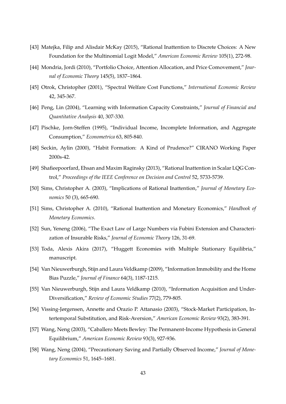- [43] Matejka, Filip and Alisdair McKay (2015), "Rational Inattention to Discrete Choices: A New Foundation for the Multinomial Logit Model," *American Economic Review* 105(1), 272-98.
- [44] Mondria, Jordi (2010), "Portfolio Choice, Attention Allocation, and Price Comovement," *Journal of Economic Theory* 145(5), 1837–1864.
- [45] Otrok, Christopher (2001), "Spectral Welfare Cost Functions," *International Economic Review* 42, 345-367.
- [46] Peng, Lin (2004), "Learning with Information Capacity Constraints," *Journal of Financial and Quantitative Analysis* 40, 307-330.
- [47] Pischke, Jorn-Steffen (1995), "Individual Income, Incomplete Information, and Aggregate Consumption," *Econometrica* 63, 805-840.
- [48] Seckin, Aylin (2000), "Habit Formation: A Kind of Prudence?" CIRANO Working Paper 2000s-42.
- [49] Shafieepoorfard, Ehsan and Maxim Raginsky (2013), "Rational Inattention in Scalar LQG Control," *Proceedings of the IEEE Conference on Decision and Control* 52, 5733-5739.
- [50] Sims, Christopher A. (2003), "Implications of Rational Inattention," *Journal of Monetary Economics* 50 (3), 665-690.
- [51] Sims, Christopher A. (2010), "Rational Inattention and Monetary Economics," *Handbook of Monetary Economics*.
- [52] Sun, Yeneng (2006), "The Exact Law of Large Numbers via Fubini Extension and Characterization of Insurable Risks," *Journal of Economic Theory* 126, 31-69.
- [53] Toda, Alexis Akira (2017), "Huggett Economies with Multiple Stationary Equilibria," manuscript.
- [54] Van Nieuwerburgh, Stijn and Laura Veldkamp (2009), "Information Immobility and the Home Bias Puzzle," *Journal of Finance* 64(3), 1187-1215.
- [55] Van Nieuwerburgh, Stijn and Laura Veldkamp (2010), "Information Acquisition and Under-Diversification," *Review of Economic Studies* 77(2), 779-805.
- [56] Vissing-Jørgensen, Annette and Orazio P. Attanasio (2003), "Stock-Market Participation, Intertemporal Substitution, and Risk-Aversion," *American Economic Review* 93(2), 383-391.
- [57] Wang, Neng (2003), "Caballero Meets Bewley: The Permanent-Income Hypothesis in General Equilibrium," *American Economic Review* 93(3), 927-936.
- [58] Wang, Neng (2004), "Precautionary Saving and Partially Observed Income," *Journal of Monetary Economics* 51, 1645–1681.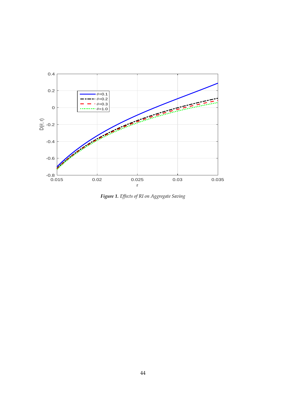

*Figure 1. Effects of RI on Aggregate Saving*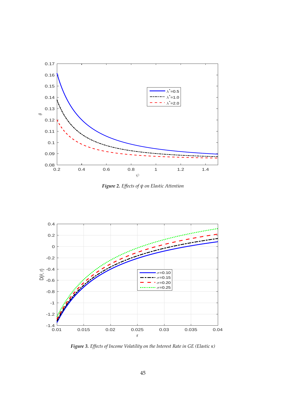

*Figure 2. Effects of ψ on Elastic Attention*



*Figure 3. Effects of Income Volatility on the Interest Rate in GE (Elastic κ)*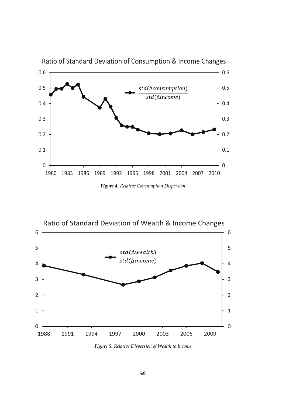

Ratio of Standard Deviation of Consumption & Income Changes

Ͳ *Figure 4. Relative Consumption Dispersion*



 $\mathcal{L}$  and  $\mathcal{L}$ *Figure 5. Relative Dispersion of Wealth to Income*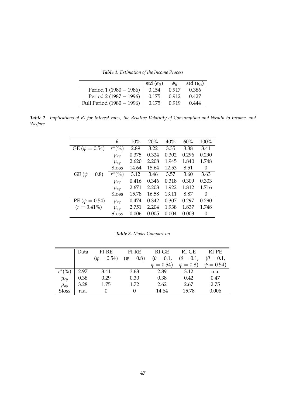*Table 1. Estimation of the Income Process*

|                           | std $(\epsilon_{it})$ | $\Phi_{it}$ | std $(y_{it})$ |
|---------------------------|-----------------------|-------------|----------------|
| Period $1(1980 - 1986)$   | 0.154                 | 0.917       | 0.386          |
| Period 2 (1987 - 1996)    | 0.175                 | 0.912       | 0.427          |
| Full Period (1980 - 1996) | 0.175                 | 0.919       | 0.444          |

*Table 2. Implications of RI for Interest rates, the Relative Volatility of Consumption and Wealth to Income, and Welfare*

|                      | $\theta$      | 10%   | 20%   | 40%   | 60%   | 100%     |
|----------------------|---------------|-------|-------|-------|-------|----------|
| GE ( $\psi = 0.54$ ) | $r^*$<br>( %) | 2.89  | 3.22  | 3.35  | 3.38  | 3.41     |
|                      | $\mu_{cy}$    | 0.375 | 0.324 | 0.302 | 0.296 | 0.290    |
|                      | $\mu_{ay}$    | 2.620 | 2.208 | 1.945 | 1.840 | 1.748    |
|                      | \$loss        | 14.64 | 15.64 | 12.53 | 8.51  | 0        |
| $GE (\psi = 0.8)$    | $r^{*}$ (%)   | 3.12  | 3.46  | 3.57  | 3.60  | 3.63     |
|                      | $\mu_{cy}$    | 0.416 | 0.346 | 0.318 | 0.309 | 0.303    |
|                      | $\mu_{ay}$    | 2.671 | 2.203 | 1.922 | 1.812 | 1.716    |
|                      | \$loss        | 15.78 | 16.58 | 13.11 | 8.87  | $\Omega$ |
| PE ( $\psi = 0.54$ ) | $\mu_{cy}$    | 0.474 | 0.342 | 0.307 | 0.297 | 0.290    |
| $(r = 3.41\%)$       | $\mu_{ay}$    | 2.751 | 2.204 | 1.938 | 1.837 | 1.748    |
|                      | \$loss        | 0.006 | 0.005 | 0.004 | 0.003 | $\Omega$ |

*Table 3. Model Comparison*

|             | Data | FI-RE           | FI-RE          | $RI-GE$          | RI-GE            | RI-PE            |
|-------------|------|-----------------|----------------|------------------|------------------|------------------|
|             |      | $(\psi = 0.54)$ | $(\psi = 0.8)$ | $(\theta = 0.1)$ | $(\theta = 0.1,$ | $(\theta = 0.1,$ |
|             |      |                 |                | $\psi = 0.54$    | $\psi = 0.8$     | $\psi = 0.54$    |
| $r^{*}$ (%) | 2.97 | 3.41            | 3.63           | 2.89             | 3.12             | n.a.             |
| $\mu_{cy}$  | 0.38 | 0.29            | 0.30           | 0.38             | 0.42             | 0.47             |
| $\mu_{ay}$  | 3.28 | 1.75            | 1.72           | 2.62             | 2.67             | 2.75             |
| \$loss      | n.a. | $\theta$        |                | 14.64            | 15.78            | 0.006            |
|             |      |                 |                |                  |                  |                  |